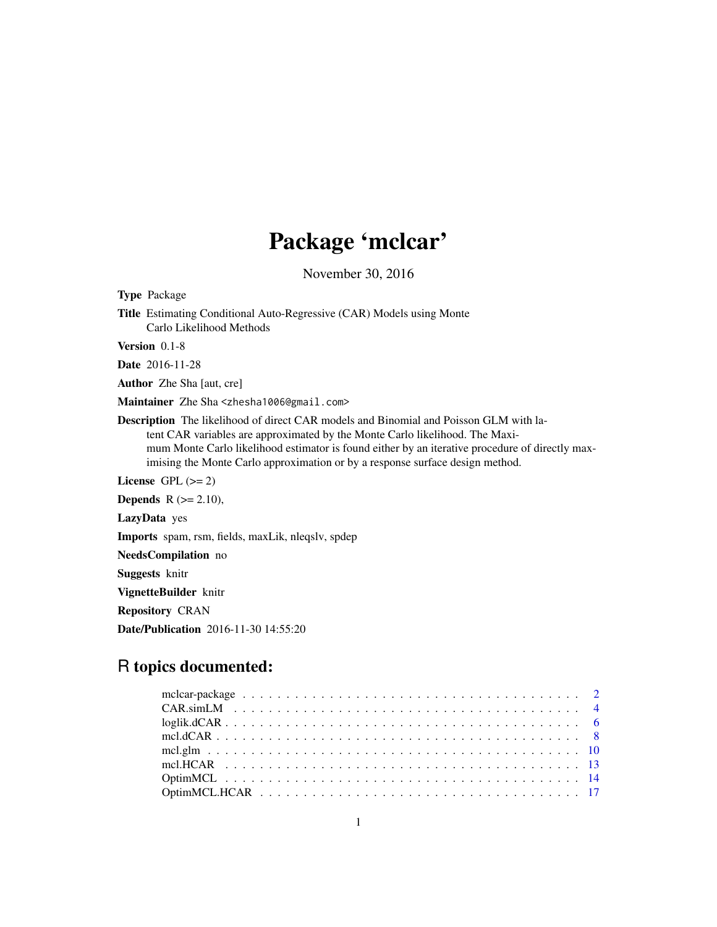# Package 'mclcar'

November 30, 2016

Title Estimating Conditional Auto-Regressive (CAR) Models using Monte Carlo Likelihood Methods Version 0.1-8 Date 2016-11-28 Author Zhe Sha [aut, cre] Maintainer Zhe Sha <zhesha1006@gmail.com> Description The likelihood of direct CAR models and Binomial and Poisson GLM with latent CAR variables are approximated by the Monte Carlo likelihood. The Maximum Monte Carlo likelihood estimator is found either by an iterative procedure of directly maximising the Monte Carlo approximation or by a response surface design method. License GPL  $(>= 2)$ **Depends**  $R$  ( $>= 2.10$ ), LazyData yes Imports spam, rsm, fields, maxLik, nleqslv, spdep NeedsCompilation no Suggests knitr VignetteBuilder knitr Repository CRAN Date/Publication 2016-11-30 14:55:20

# R topics documented:

<span id="page-0-0"></span>Type Package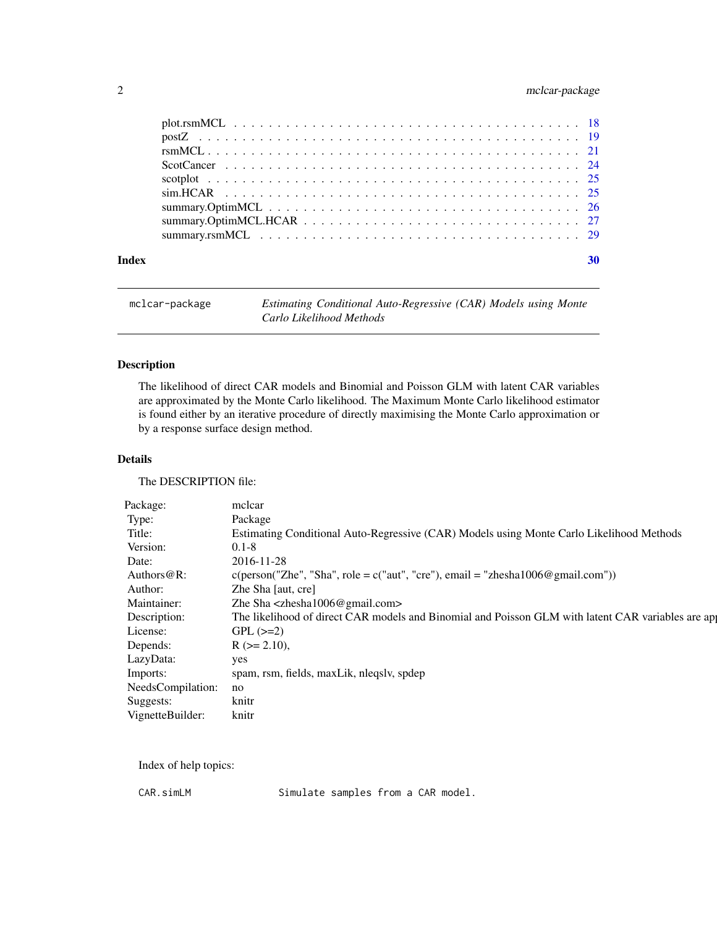# <span id="page-1-0"></span>2 mclcar-package

| Index |  |
|-------|--|

mclcar-package *Estimating Conditional Auto-Regressive (CAR) Models using Monte Carlo Likelihood Methods*

# Description

The likelihood of direct CAR models and Binomial and Poisson GLM with latent CAR variables are approximated by the Monte Carlo likelihood. The Maximum Monte Carlo likelihood estimator is found either by an iterative procedure of directly maximising the Monte Carlo approximation or by a response surface design method.

#### Details

The DESCRIPTION file:

| Package:             | mclcar                                                                                            |
|----------------------|---------------------------------------------------------------------------------------------------|
| Type:                | Package                                                                                           |
| Title:               | Estimating Conditional Auto-Regressive (CAR) Models using Monte Carlo Likelihood Methods          |
| Version:             | $0.1 - 8$                                                                                         |
| Date:                | 2016-11-28                                                                                        |
| Authors@R:           | $c(\text{person("Zhe", "Sha", role = c("aut", "cre"), email = "zhesha1006@gmail.com"))$           |
| Author:              | Zhe Sha [aut, cre]                                                                                |
| Maintainer:          | Zhe Sha $\langle$ zhesha $1006@$ gmail.com>                                                       |
| Description:         | The likelihood of direct CAR models and Binomial and Poisson GLM with latent CAR variables are ap |
| License:             | $GPL$ ( $>=2$ )                                                                                   |
| Depends:             | $R (= 2.10),$                                                                                     |
| LazyData:            | yes                                                                                               |
| Imports:             | spam, rsm, fields, maxLik, nleqslv, spdep                                                         |
| NeedsCompilation: no |                                                                                                   |
| Suggests:            | knitr                                                                                             |
| VignetteBuilder:     | knitr                                                                                             |

Index of help topics:

CAR.simLM Simulate samples from a CAR model.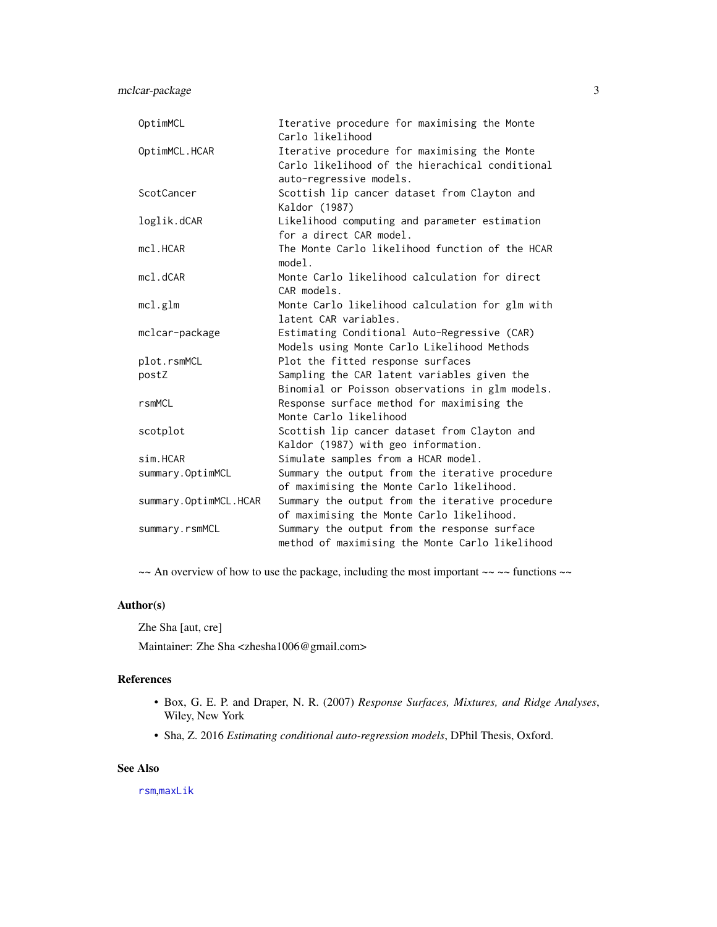<span id="page-2-0"></span>mclcar-package 3

| OptimMCL              | Iterative procedure for maximising the Monte<br>Carlo likelihood                                                           |
|-----------------------|----------------------------------------------------------------------------------------------------------------------------|
| OptimMCL.HCAR         | Iterative procedure for maximising the Monte<br>Carlo likelihood of the hierachical conditional<br>auto-regressive models. |
| ScotCancer            | Scottish lip cancer dataset from Clayton and<br>Kaldor (1987)                                                              |
| loglik.dCAR           | Likelihood computing and parameter estimation<br>for a direct CAR model.                                                   |
| mc1.HCAR              | The Monte Carlo likelihood function of the HCAR<br>model.                                                                  |
| $mc1$ . $dCAR$        | Monte Carlo likelihood calculation for direct<br>CAR models.                                                               |
| mc1.g1m               | Monte Carlo likelihood calculation for glm with<br>latent CAR variables.                                                   |
| mclcar-package        | Estimating Conditional Auto-Regressive (CAR)<br>Models using Monte Carlo Likelihood Methods                                |
| plot.rsmMCL           | Plot the fitted response surfaces                                                                                          |
| postZ                 | Sampling the CAR latent variables given the<br>Binomial or Poisson observations in glm models.                             |
| rsmMCL                | Response surface method for maximising the<br>Monte Carlo likelihood                                                       |
| scotplot              | Scottish lip cancer dataset from Clayton and<br>Kaldor (1987) with geo information.                                        |
| sim.HCAR              | Simulate samples from a HCAR model.                                                                                        |
| summary.OptimMCL      | Summary the output from the iterative procedure<br>of maximising the Monte Carlo likelihood.                               |
| summary.OptimMCL.HCAR | Summary the output from the iterative procedure<br>of maximising the Monte Carlo likelihood.                               |
| summary.rsmMCL        | Summary the output from the response surface<br>method of maximising the Monte Carlo likelihood                            |

 $\sim$  An overview of how to use the package, including the most important  $\sim$   $\sim$  functions  $\sim$ 

# Author(s)

Zhe Sha [aut, cre]

Maintainer: Zhe Sha <zhesha1006@gmail.com>

# References

- Box, G. E. P. and Draper, N. R. (2007) *Response Surfaces, Mixtures, and Ridge Analyses*, Wiley, New York
- Sha, Z. 2016 *Estimating conditional auto-regression models*, DPhil Thesis, Oxford.

# See Also

[rsm](#page-0-0),[maxLik](#page-0-0)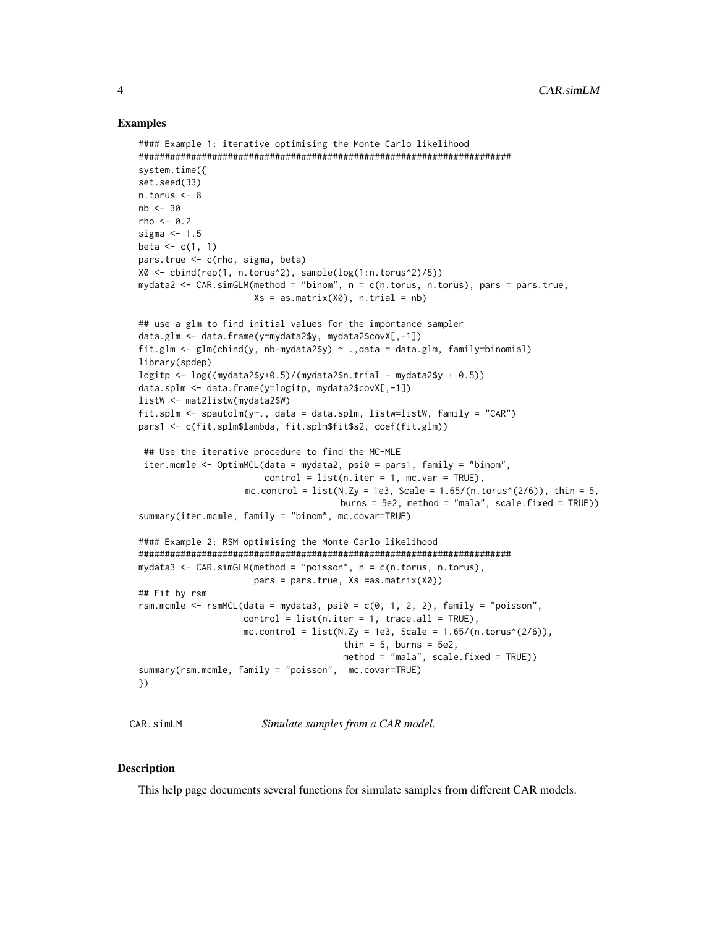#### <span id="page-3-0"></span>Examples

```
#### Example 1: iterative optimising the Monte Carlo likelihood
#######################################################################
system.time({
set.seed(33)
n.torus <- 8
nb < -30rho \leq -0.2sigma <-1.5beta \leq c(1, 1)pars.true <- c(rho, sigma, beta)
X0 <- cbind(rep(1, n.torus^2), sample(log(1:n.torus^2)/5))
mydata2 <- CAR.simGLM(method = "binom", n = c(n.torus, n.torus), pars = pars.true,
                      Xs = as_matrix(X0), n.train = nb)## use a glm to find initial values for the importance sampler
data.glm <- data.frame(y=mydata2$y, mydata2$covX[,-1])
fit.glm \leq glm(cbind(y, nb-mydata2$y) \sim .,data = data.glm, family=binomial)
library(spdep)
logitp \leq log((mydata2$y+0.5)/(mydata2$n.trial - mydata2$y + 0.5))
data.splm <- data.frame(y=logitp, mydata2$covX[,-1])
listW <- mat2listw(mydata2$W)
fit.splm \leq spautolm(y\leq, data = data.splm, listw=listW, family = "CAR")
pars1 <- c(fit.splm$lambda, fit.splm$fit$s2, coef(fit.glm))
 ## Use the iterative procedure to find the MC-MLE
 iter.mcmle <- OptimMCL(data = mydata2, psi0 = pars1, family = "binom",
                        control = list(n.iter = 1, mc.var = TRUE),mc.control = list(N.Zy = 1e3, Scale = 1.65/(n.torus^{(2/6)}), thin = 5,burns = 5e2, method = "mala", scale.fixed = TRUE))
summary(iter.mcmle, family = "binom", mc.covar=TRUE)
#### Example 2: RSM optimising the Monte Carlo likelihood
#######################################################################
mydata3 <- CAR.simGLM(method = "poisson", n = c(n.torus, n.torus),
                      pars = pars.true, Xs =as.matrix(X0))
## Fit by rsm
rsm.mcmle \leq rsmMCL(data = mydata3, psi0 = c(0, 1, 2, 2), family = "poisson",
                    control = list(n.iter = 1, trace.al = TRUE),mc.control = list(N.Zy = 1e3, Scale = 1.65/(n.torus^(2/6)),thin = 5, burns = 5e2,
                                       method = "mala", scale.fixed = TRUE))
summary(rsm.mcmle, family = "poisson", mc.covar=TRUE)
})
```
<span id="page-3-1"></span>CAR.simLM *Simulate samples from a CAR model.*

#### <span id="page-3-2"></span>Description

This help page documents several functions for simulate samples from different CAR models.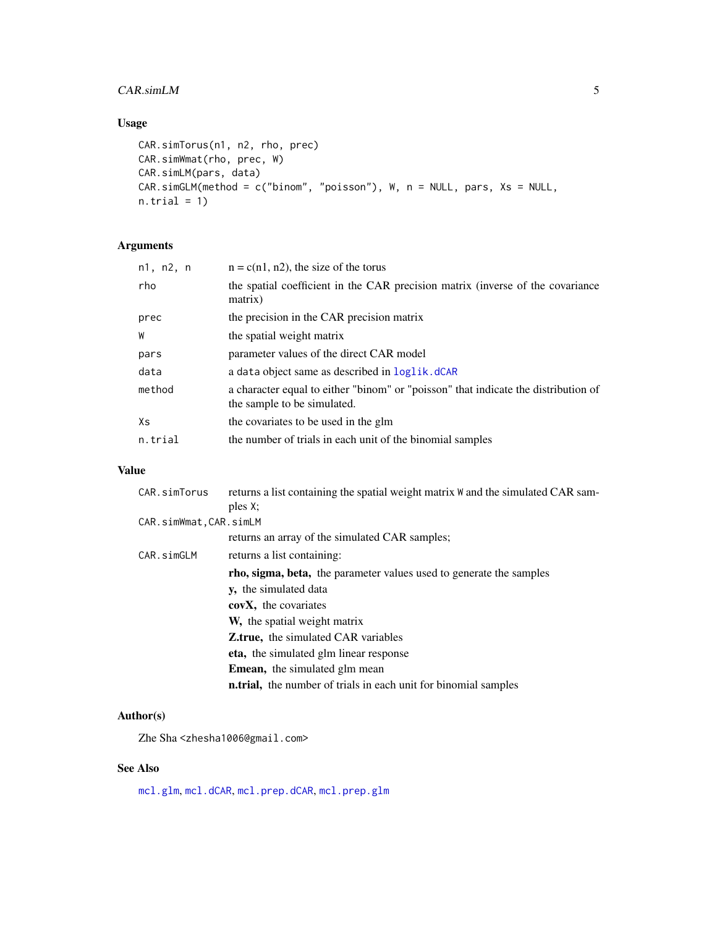# <span id="page-4-0"></span>CAR.simLM 5

# Usage

```
CAR.simTorus(n1, n2, rho, prec)
CAR.simWmat(rho, prec, W)
CAR.simLM(pars, data)
CAR.simGLM(method = c("binom", "poisson"), W, n = NULL, pars, Xs = NULL,
n.train = 1)
```
# Arguments

| n1, n2, n | $n = c(n1, n2)$ , the size of the torus                                                                           |
|-----------|-------------------------------------------------------------------------------------------------------------------|
| rho       | the spatial coefficient in the CAR precision matrix (inverse of the covariance<br>matrix)                         |
| prec      | the precision in the CAR precision matrix                                                                         |
| W         | the spatial weight matrix                                                                                         |
| pars      | parameter values of the direct CAR model                                                                          |
| data      | a data object same as described in loglik.dCAR                                                                    |
| method    | a character equal to either "binom" or "poisson" that indicate the distribution of<br>the sample to be simulated. |
| Хs        | the covariates to be used in the glm                                                                              |
| n.trial   | the number of trials in each unit of the binomial samples                                                         |
|           |                                                                                                                   |

# Value

| CAR.simTorus           | returns a list containing the spatial weight matrix W and the simulated CAR sam- |
|------------------------|----------------------------------------------------------------------------------|
|                        | ples X:                                                                          |
| CAR.simWmat, CAR.simLM |                                                                                  |
|                        | returns an array of the simulated CAR samples;                                   |
| CAR.simGLM             | returns a list containing:                                                       |
|                        | rho, sigma, beta, the parameter values used to generate the samples              |
|                        | <b>v</b> , the simulated data                                                    |
|                        | covX, the covariates                                                             |
|                        | <b>W</b> , the spatial weight matrix                                             |
|                        | <b>Z.true,</b> the simulated CAR variables                                       |
|                        | eta, the simulated glm linear response                                           |
|                        | <b>Emean,</b> the simulated glm mean                                             |
|                        | <b>n.trial</b> , the number of trials in each unit for binomial samples          |

# Author(s)

Zhe Sha <zhesha1006@gmail.com>

# See Also

[mcl.glm](#page-9-1), [mcl.dCAR](#page-7-1), [mcl.prep.dCAR](#page-7-2), [mcl.prep.glm](#page-9-2)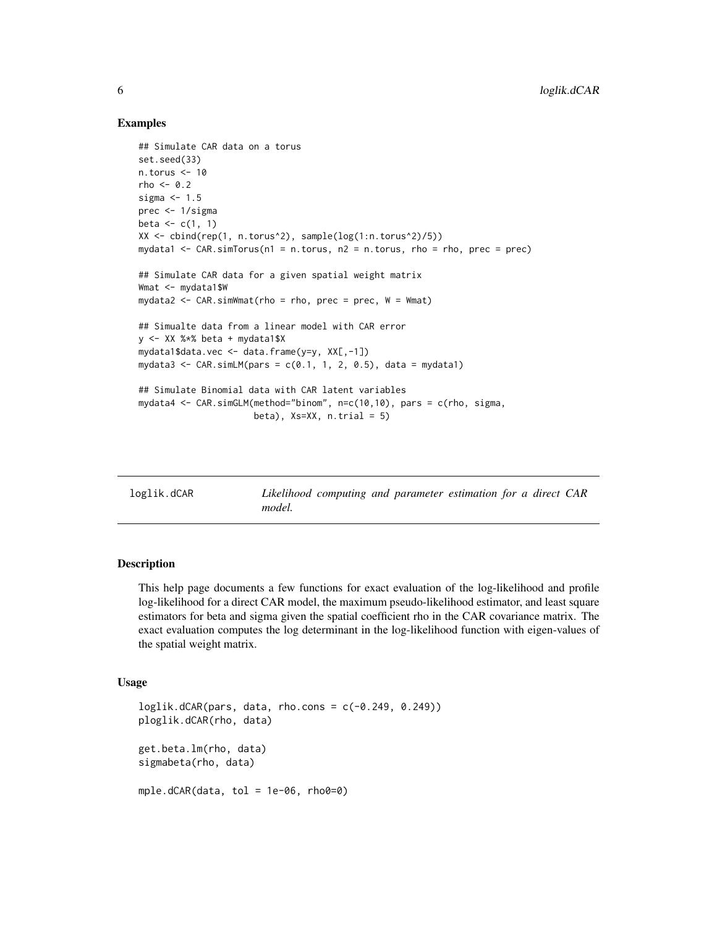#### Examples

```
## Simulate CAR data on a torus
set.seed(33)
n.torus <- 10
rho < -0.2sigma <-1.5prec <- 1/sigma
beta \leftarrow c(1, 1)
XX <- cbind(rep(1, n.torus^2), sample(log(1:n.torus^2)/5))
mydata1 <- CAR.simTorus(n1 = n.torus, n2 = n.torus, rho = rho, prec = prec)
## Simulate CAR data for a given spatial weight matrix
Wmat <- mydata1$W
mydata2 <- CAR.simWmat(rho = rho, prec = prec, W = Wmat)
## Simualte data from a linear model with CAR error
y <- XX %*% beta + mydata1$X
mydata1$data.vec <- data.frame(y=y, XX[,-1])
mydata3 <- CAR.simLM(pars = c(0.1, 1, 2, 0.5), data = mydata1)
## Simulate Binomial data with CAR latent variables
mydata4 <- CAR.simGLM(method="binom", n=c(10,10), pars = c(rho, sigma,
                      beta), Xs=XX, n.trial = 5)
```
<span id="page-5-1"></span>loglik.dCAR *Likelihood computing and parameter estimation for a direct CAR model.*

# Description

This help page documents a few functions for exact evaluation of the log-likelihood and profile log-likelihood for a direct CAR model, the maximum pseudo-likelihood estimator, and least square estimators for beta and sigma given the spatial coefficient rho in the CAR covariance matrix. The exact evaluation computes the log determinant in the log-likelihood function with eigen-values of the spatial weight matrix.

#### Usage

```
loglik.dCAR(pars, data, rho.coms = c(-0.249, 0.249))ploglik.dCAR(rho, data)
get.beta.lm(rho, data)
sigmabeta(rho, data)
mple.dCAR(data, tol = 1e-06, rho0=0)
```
<span id="page-5-0"></span>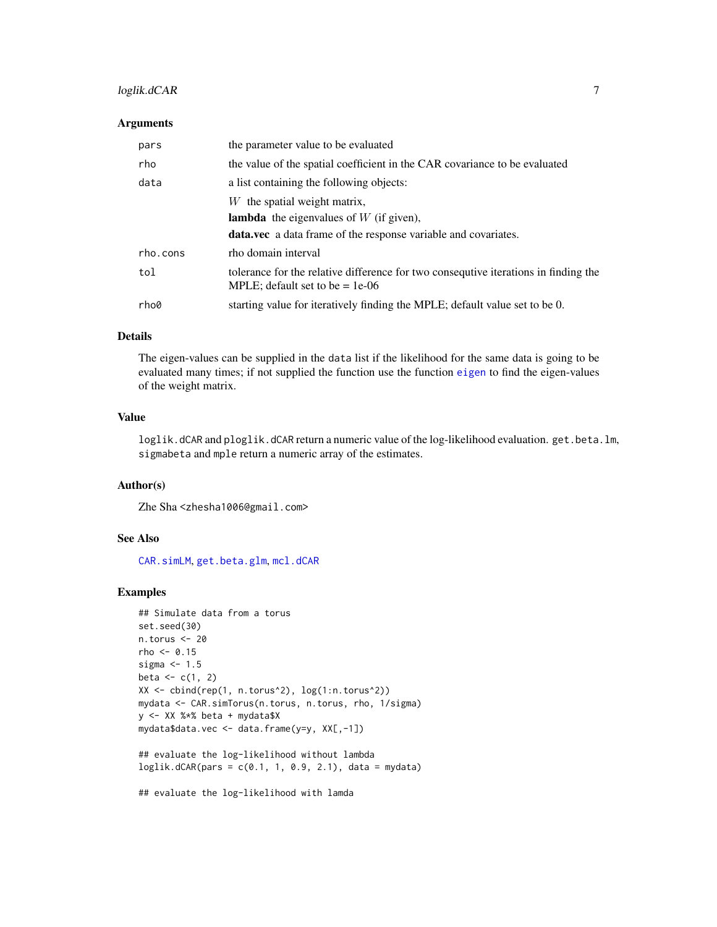# <span id="page-6-0"></span>loglik.dCAR 7

#### **Arguments**

| pars     | the parameter value to be evaluated                                                                                      |
|----------|--------------------------------------------------------------------------------------------------------------------------|
| rho      | the value of the spatial coefficient in the CAR covariance to be evaluated                                               |
| data     | a list containing the following objects:                                                                                 |
|          | $W$ the spatial weight matrix,                                                                                           |
|          | <b>lambda</b> the eigenvalues of $W$ (if given),                                                                         |
|          | <b>data.vec</b> a data frame of the response variable and covariates.                                                    |
| rho.cons | rho domain interval                                                                                                      |
| tol      | tolerance for the relative difference for two consequtive iterations in finding the<br>MPLE; default set to be $= 1e-06$ |
| rho0     | starting value for iteratively finding the MPLE; default value set to be 0.                                              |

# Details

The eigen-values can be supplied in the data list if the likelihood for the same data is going to be evaluated many times; if not supplied the function use the function [eigen](#page-0-0) to find the eigen-values of the weight matrix.

# Value

loglik.dCAR and ploglik.dCAR return a numeric value of the log-likelihood evaluation.get.beta.lm, sigmabeta and mple return a numeric array of the estimates.

#### Author(s)

Zhe Sha <zhesha1006@gmail.com>

#### See Also

[CAR.simLM](#page-3-1), [get.beta.glm](#page-9-2), [mcl.dCAR](#page-7-1)

#### Examples

```
## Simulate data from a torus
set.seed(30)
n.torus <- 20
rho < -0.15sigma <-1.5beta <-c(1, 2)XX <- cbind(rep(1, n.torus^2), log(1:n.torus^2))
mydata <- CAR.simTorus(n.torus, n.torus, rho, 1/sigma)
y <- XX %*% beta + mydata$X
mydata$data.vec <- data.frame(y=y, XX[,-1])
## evaluate the log-likelihood without lambda
loglik.dCAR(pars = c(0.1, 1, 0.9, 2.1), data = mydata)
```
## evaluate the log-likelihood with lamda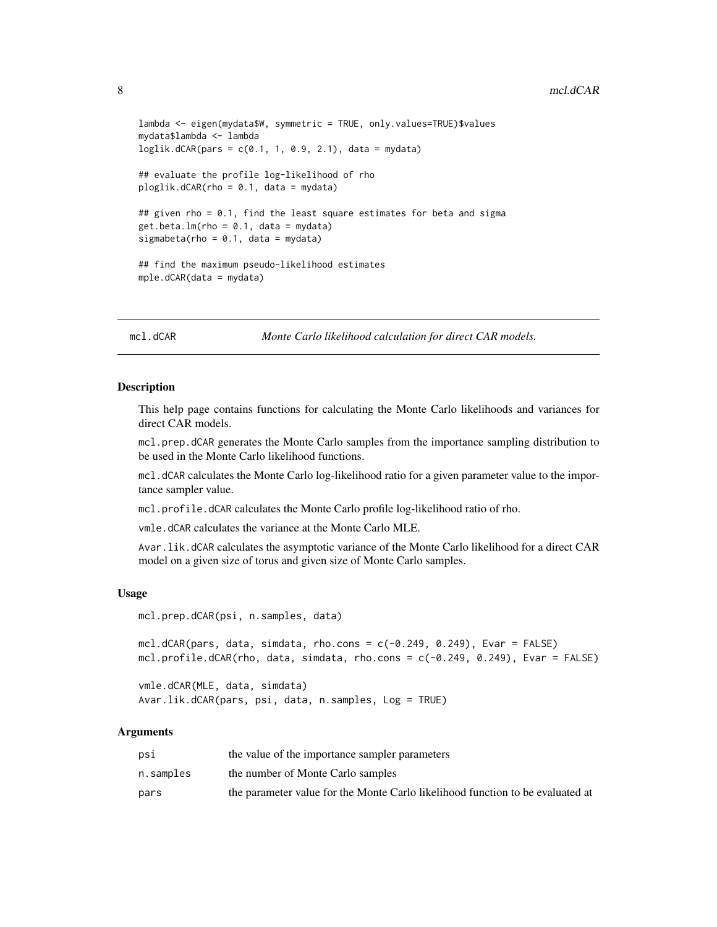```
lambda <- eigen(mydata$W, symmetric = TRUE, only.values=TRUE)$values
mydata$lambda <- lambda
loglik.dCAR(pars = c(0.1, 1, 0.9, 2.1), data = mydata)## evaluate the profile log-likelihood of rho
ploglik.dCAR(rho = 0.1, data = mydata)## given rho = 0.1, find the least square estimates for beta and sigma
get.beta.lm(rho = 0.1, data = mydata)sigmabeta(rho = 0.1, data = mydata)
## find the maximum pseudo-likelihood estimates
mple.dCAR(data = mydata)
```
<span id="page-7-1"></span>mcl.dCAR *Monte Carlo likelihood calculation for direct CAR models.* 

#### <span id="page-7-2"></span>Description

This help page contains functions for calculating the Monte Carlo likelihoods and variances for direct CAR models.

mcl.prep.dCAR generates the Monte Carlo samples from the importance sampling distribution to be used in the Monte Carlo likelihood functions.

mcl.dCAR calculates the Monte Carlo log-likelihood ratio for a given parameter value to the importance sampler value.

mcl.profile.dCAR calculates the Monte Carlo profile log-likelihood ratio of rho.

vmle.dCAR calculates the variance at the Monte Carlo MLE.

Avar. lik.dCAR calculates the asymptotic variance of the Monte Carlo likelihood for a direct CAR model on a given size of torus and given size of Monte Carlo samples.

#### Usage

```
mcl.prep.dCAR(psi, n.samples, data)
```

```
mcl.dCAR(pars, data, simdata, rho.cons = c(-0.249, 0.249), Evar = FALSE)
mcl.profile.dCAR(rho, data, simdata, rho.cons = c(-0.249, 0.249), Evar = FALSE)
```

```
vmle.dCAR(MLE, data, simdata)
Avar.lik.dCAR(pars, psi, data, n.samples, Log = TRUE)
```
#### Arguments

| psi       | the value of the importance sampler parameters                                 |
|-----------|--------------------------------------------------------------------------------|
| n.samples | the number of Monte Carlo samples                                              |
| pars      | the parameter value for the Monte Carlo likelihood function to be evaluated at |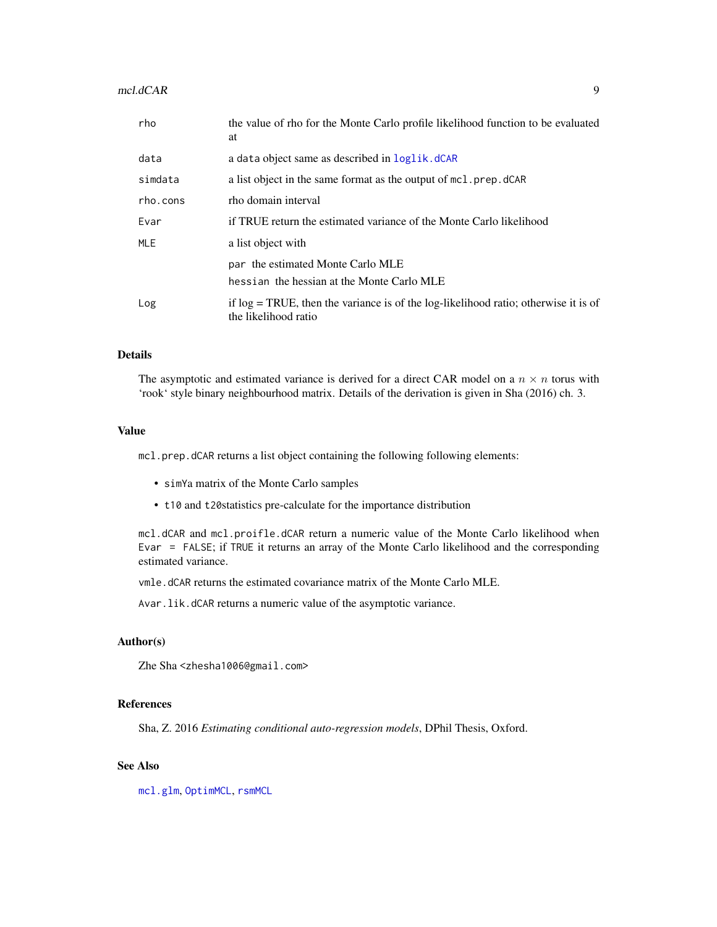#### <span id="page-8-0"></span>mcl.dCAR 9

| rho      | the value of rho for the Monte Carlo profile likelihood function to be evaluated<br>at                           |
|----------|------------------------------------------------------------------------------------------------------------------|
| data     | a data object same as described in <b>loglik</b> .dCAR                                                           |
| simdata  | a list object in the same format as the output of mc1.prep.dCAR                                                  |
| rho.cons | rho domain interval                                                                                              |
| Evar     | if TRUE return the estimated variance of the Monte Carlo likelihood                                              |
| MLE      | a list object with                                                                                               |
|          | par the estimated Monte Carlo MLE                                                                                |
|          | hessian the hessian at the Monte Carlo MLE                                                                       |
| Log      | if $log = TRUE$ , then the variance is of the $log-likelihood$ ratio; otherwise it is of<br>the likelihood ratio |

## Details

The asymptotic and estimated variance is derived for a direct CAR model on a  $n \times n$  torus with 'rook' style binary neighbourhood matrix. Details of the derivation is given in Sha (2016) ch. 3.

#### Value

mcl.prep.dCAR returns a list object containing the following following elements:

- simYa matrix of the Monte Carlo samples
- t10 and t20statistics pre-calculate for the importance distribution

mcl.dCAR and mcl.proifle.dCAR return a numeric value of the Monte Carlo likelihood when Evar = FALSE; if TRUE it returns an array of the Monte Carlo likelihood and the corresponding estimated variance.

vmle.dCAR returns the estimated covariance matrix of the Monte Carlo MLE.

Avar.lik.dCAR returns a numeric value of the asymptotic variance.

#### Author(s)

Zhe Sha <zhesha1006@gmail.com>

#### References

Sha, Z. 2016 *Estimating conditional auto-regression models*, DPhil Thesis, Oxford.

# See Also

[mcl.glm](#page-9-1), [OptimMCL](#page-13-1), [rsmMCL](#page-20-1)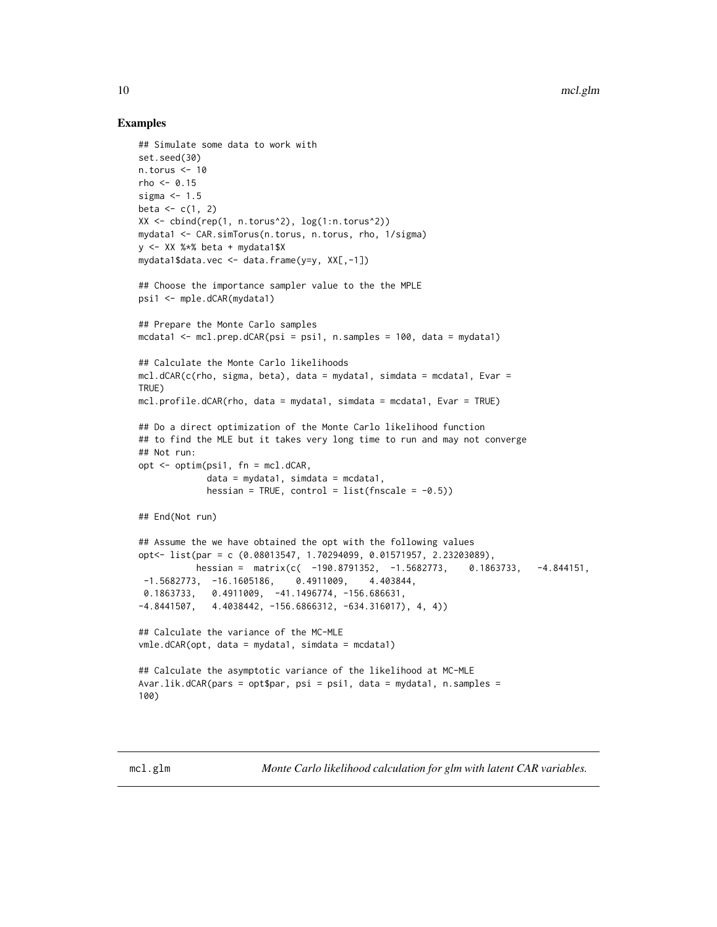#### <span id="page-9-0"></span>Examples

```
## Simulate some data to work with
set.seed(30)
n.torus \leq -10rho < -0.15sigma <-1.5beta \leq c(1, 2)XX <- cbind(rep(1, n.torus^2), log(1:n.torus^2))
mydata1 <- CAR.simTorus(n.torus, n.torus, rho, 1/sigma)
y <- XX %*% beta + mydata1$X
mydata1$data.vec <- data.frame(y=y, XX[,-1])
## Choose the importance sampler value to the the MPLE
psi1 <- mple.dCAR(mydata1)
## Prepare the Monte Carlo samples
mcdata1 \le mcl.prep.dCAR(psi = psi1, n.samples = 100, data = mydata1)
## Calculate the Monte Carlo likelihoods
mcl.dCAR(c(rho, sigma, beta), data = mydata1, simdata = mcdata1, Evar =
TRUE)
mcl.profile.dCAR(rho, data = mydata1, simdata = mcdata1, Evar = TRUE)
## Do a direct optimization of the Monte Carlo likelihood function
## to find the MLE but it takes very long time to run and may not converge
## Not run:
opt <- optim(psi1, fn = mcl.dCAR,
             data = mydata1, simdata = medat1,hessian = TRUE, control = list(fnscale = -0.5))
## End(Not run)
## Assume the we have obtained the opt with the following values
opt<- list(par = c (0.08013547, 1.70294099, 0.01571957, 2.23203089),
           hessian = matrix(c( -190.8791352, -1.5682773, 0.1863733, -4.844151,
 -1.5682773, -16.1605186, 0.4911009, 4.403844,
 0.1863733, 0.4911009, -41.1496774, -156.686631,
-4.8441507, 4.4038442, -156.6866312, -634.316017), 4, 4))
## Calculate the variance of the MC-MLE
vmle.dCAR(opt, data = mydata1, simdata = mcdata1)
## Calculate the asymptotic variance of the likelihood at MC-MLE
Avar.lik.dCAR(pars = opt$par, psi = psi1, data = mydata1, n.samples =
100)
```
<span id="page-9-2"></span><span id="page-9-1"></span>mcl.glm *Monte Carlo likelihood calculation for glm with latent CAR variables.*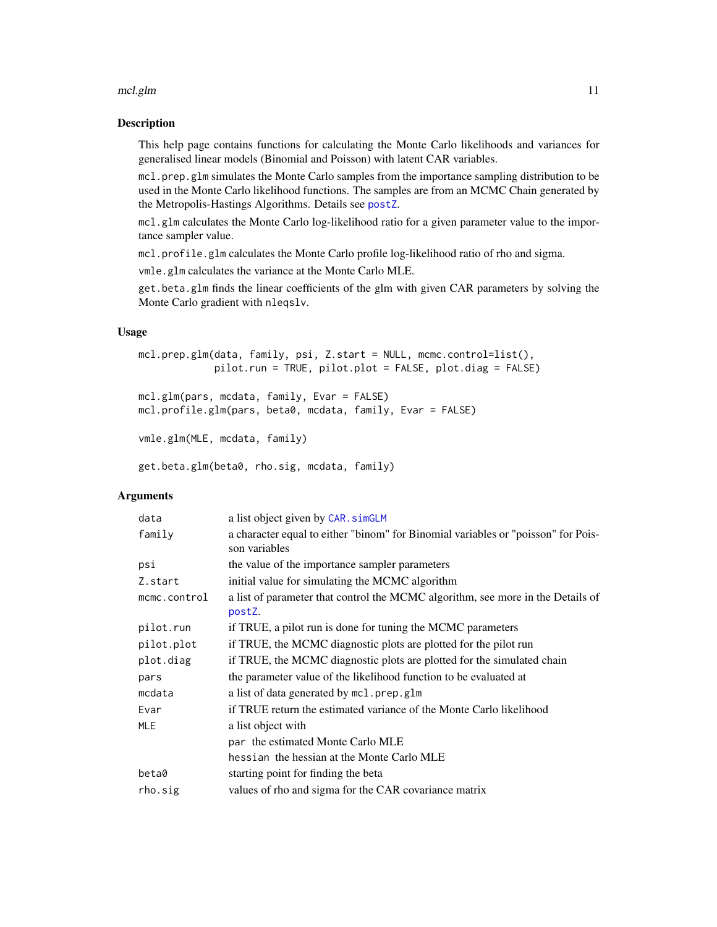#### <span id="page-10-0"></span>mcl.glm and 11 and 12 and 12 and 12 and 12 and 12 and 12 and 13 and 13 and 13 and 14 and 14 and 14 and 15 and 17 and 17 and 17 and 17 and 17 and 17 and 17 and 17 and 17 and 17 and 17 and 17 and 17 and 17 and 17 and 17 and

#### Description

This help page contains functions for calculating the Monte Carlo likelihoods and variances for generalised linear models (Binomial and Poisson) with latent CAR variables.

mcl.prep.glm simulates the Monte Carlo samples from the importance sampling distribution to be used in the Monte Carlo likelihood functions. The samples are from an MCMC Chain generated by the Metropolis-Hastings Algorithms. Details see [postZ](#page-18-1).

mcl.glm calculates the Monte Carlo log-likelihood ratio for a given parameter value to the importance sampler value.

mcl.profile.glm calculates the Monte Carlo profile log-likelihood ratio of rho and sigma.

vmle.glm calculates the variance at the Monte Carlo MLE.

get.beta.glm finds the linear coefficients of the glm with given CAR parameters by solving the Monte Carlo gradient with nleqslv.

# Usage

```
mcl.prep.glm(data, family, psi, Z.start = NULL, mcmc.control=list(),
            pilot.run = TRUE, pilot.plot = FALSE, plot.diag = FALSE)
```

```
mcl.glm(pars, mcdata, family, Evar = FALSE)
mcl.profile.glm(pars, beta0, mcdata, family, Evar = FALSE)
```

```
vmle.glm(MLE, mcdata, family)
```

```
get.beta.glm(beta0, rho.sig, mcdata, family)
```
### Arguments

| data         | a list object given by CAR. simGLM                                                                 |
|--------------|----------------------------------------------------------------------------------------------------|
| family       | a character equal to either "binom" for Binomial variables or "poisson" for Pois-<br>son variables |
| psi          | the value of the importance sampler parameters                                                     |
| Z.start      | initial value for simulating the MCMC algorithm                                                    |
| mcmc.control | a list of parameter that control the MCMC algorithm, see more in the Details of<br>postZ.          |
| pilot.run    | if TRUE, a pilot run is done for tuning the MCMC parameters                                        |
| pilot.plot   | if TRUE, the MCMC diagnostic plots are plotted for the pilot run                                   |
| plot.diag    | if TRUE, the MCMC diagnostic plots are plotted for the simulated chain                             |
| pars         | the parameter value of the likelihood function to be evaluated at                                  |
| mcdata       | a list of data generated by mcl.prep.glm                                                           |
| Evar         | if TRUE return the estimated variance of the Monte Carlo likelihood                                |
| <b>MLE</b>   | a list object with                                                                                 |
|              | par the estimated Monte Carlo MLE                                                                  |
|              | hessian the hessian at the Monte Carlo MLE                                                         |
| beta0        | starting point for finding the beta                                                                |
| rho.sig      | values of rho and sigma for the CAR covariance matrix                                              |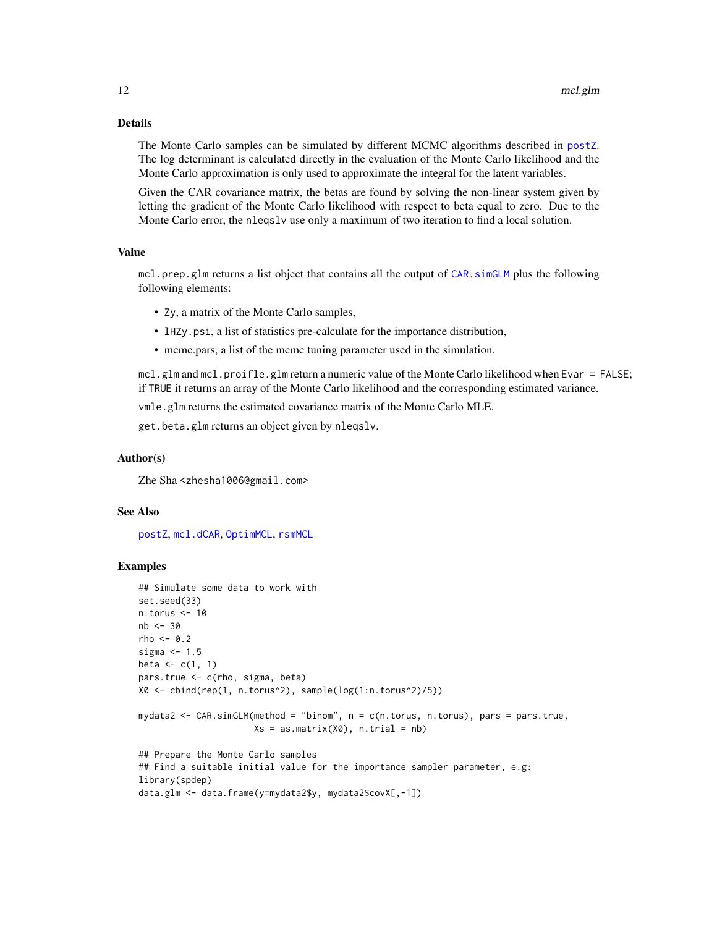#### <span id="page-11-0"></span>Details

The Monte Carlo samples can be simulated by different MCMC algorithms described in [postZ](#page-18-1). The log determinant is calculated directly in the evaluation of the Monte Carlo likelihood and the Monte Carlo approximation is only used to approximate the integral for the latent variables.

Given the CAR covariance matrix, the betas are found by solving the non-linear system given by letting the gradient of the Monte Carlo likelihood with respect to beta equal to zero. Due to the Monte Carlo error, the nlegsly use only a maximum of two iteration to find a local solution.

# Value

mcl.prep.glm returns a list object that contains all the output of [CAR.simGLM](#page-3-2) plus the following following elements:

- Zy, a matrix of the Monte Carlo samples,
- lHZy.psi, a list of statistics pre-calculate for the importance distribution,
- mcmc.pars, a list of the mcmc tuning parameter used in the simulation.

mcl.glm and mcl.proifle.glm return a numeric value of the Monte Carlo likelihood when Evar = FALSE; if TRUE it returns an array of the Monte Carlo likelihood and the corresponding estimated variance.

vmle.glm returns the estimated covariance matrix of the Monte Carlo MLE.

get.beta.glm returns an object given by nleqslv.

#### Author(s)

Zhe Sha <zhesha1006@gmail.com>

#### See Also

[postZ](#page-18-1), [mcl.dCAR](#page-7-1), [OptimMCL](#page-13-1), [rsmMCL](#page-20-1)

#### Examples

```
## Simulate some data to work with
set.seed(33)
n.torus <- 10
nb <- 30
rho <-0.2sigma <-1.5beta \leq c(1, 1)pars.true <- c(rho, sigma, beta)
X0 <- cbind(rep(1, n.torus^2), sample(log(1:n.torus^2)/5))
mydata2 <- CAR.simGLM(method = "binom", n = c(n.torus, n.torus), pars = pars.true,
                      Xs = as_matrix(X0), n.train = nb)## Prepare the Monte Carlo samples
## Find a suitable initial value for the importance sampler parameter, e.g:
library(spdep)
data.glm <- data.frame(y=mydata2$y, mydata2$covX[,-1])
```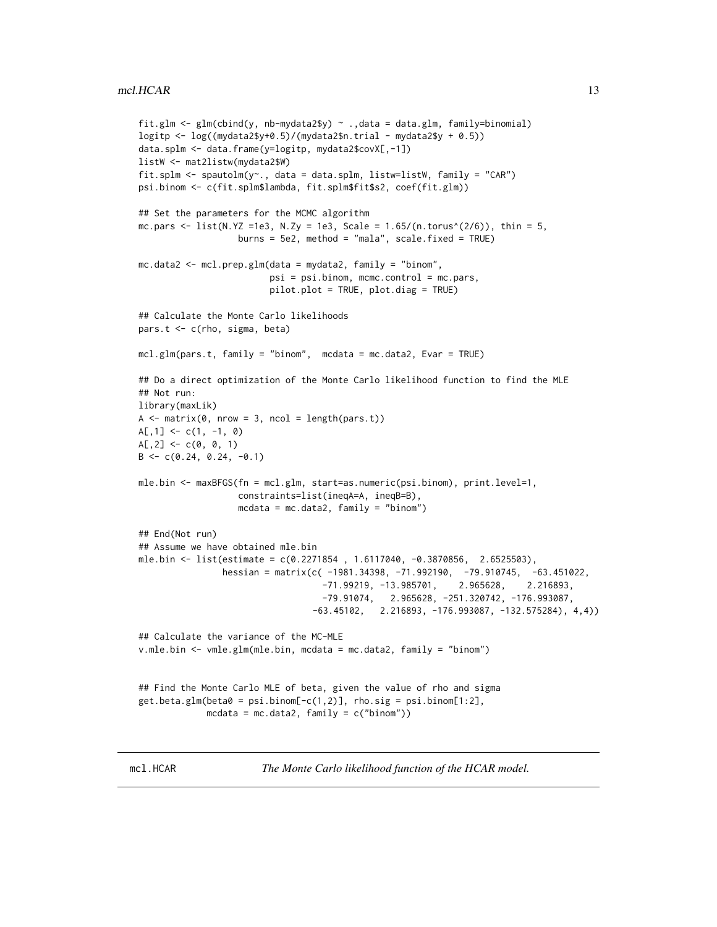```
fit.glm \leq glm(cbind(y, nb-mydata2$y) \sim .,data = data.glm, family=binomial)
logitp \leq log((mydata2$y+0.5)/(mydata2$n.trial - mydata2$y + 0.5))
data.splm <- data.frame(y=logitp, mydata2$covX[,-1])
listW <- mat2listw(mydata2$W)
fit.splm <- spautolm(y - data = data.splm, listw=listW, family = "CAR")
psi.binom <- c(fit.splm$lambda, fit.splm$fit$s2, coef(fit.glm))
## Set the parameters for the MCMC algorithm
mc.pars <- list(N.YZ =1e3, N.Zy = 1e3, Scale = 1.65/(n.torus^(2/6)), thin = 5,
                   burns = 5e2, method = "mala", scale.fixed = TRUE)
mc.data2 <- mcl.prep.glm(data = mydata2, family = "binom",
                         psi = psi.binom, mcmc.control = mc.pars,
                         pilot.plot = TRUE, plot.diag = TRUE)
## Calculate the Monte Carlo likelihoods
pars.t <- c(rho, sigma, beta)
mcl.glm(pars.t, family = "binom", median = mc.data2, Evar = TRUE)## Do a direct optimization of the Monte Carlo likelihood function to find the MLE
## Not run:
library(maxLik)
A \leq -\text{matrix}(0, \text{now} = 3, \text{ncol} = \text{length}(\text{pars.t}))A[, 1] <- c(1, -1, 0)
A[, 2] <- c(0, 0, 1)
B \leq -c(0.24, 0.24, -0.1)mle.bin <- maxBFGS(fn = mcl.glm, start=as.numeric(psi.binom), print.level=1,
                   constraints=list(ineqA=A, ineqB=B),
                   mcdata = mc.data, family = "binom")
## End(Not run)
## Assume we have obtained mle.bin
mle.bin <- list(estimate = c(0.2271854 , 1.6117040, -0.3870856, 2.6525503),
                hessian = matrix(c( -1981.34398, -71.992190, -79.910745, -63.451022,
                                    -71.99219, -13.985701, 2.965628, 2.216893,
                                    -79.91074, 2.965628, -251.320742, -176.993087,
                                  -63.45102, 2.216893, -176.993087, -132.575284), 4,4))
## Calculate the variance of the MC-MLE
v.mle.bin <- vmle.glm(mle.bin, mcdata = mc.data2, family = "binom")
## Find the Monte Carlo MLE of beta, given the value of rho and sigma
get.beta.glm(beta@ = psi.binom[-c(1,2)], rho.sig = psi.binom[1:2],
             mcdata = mc.data2, family = c("binom")
```
<span id="page-12-1"></span>mcl.HCAR *The Monte Carlo likelihood function of the HCAR model.*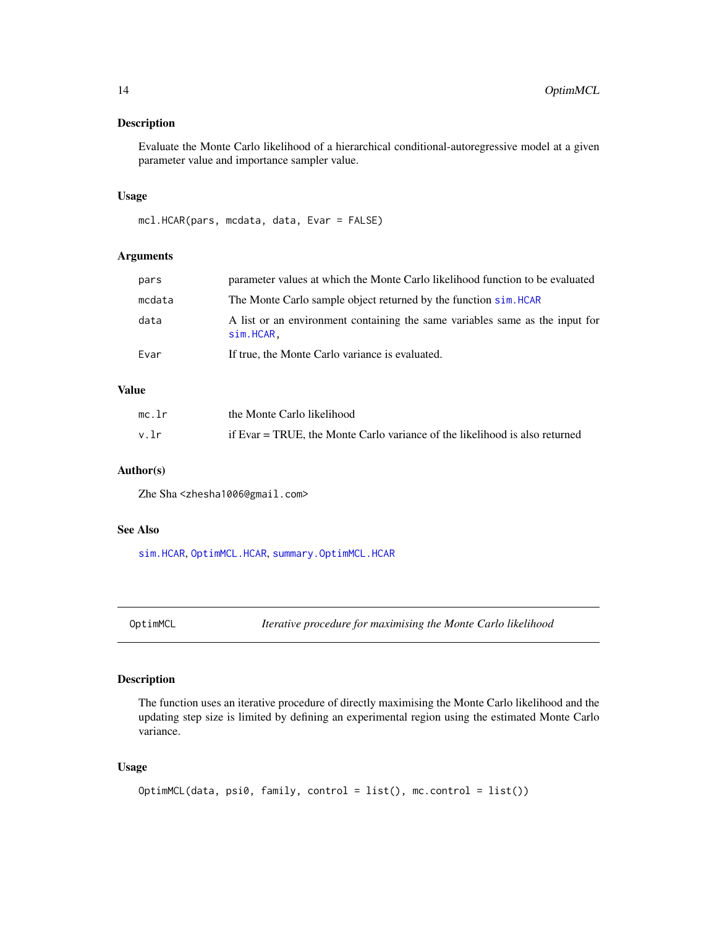## <span id="page-13-0"></span>Description

Evaluate the Monte Carlo likelihood of a hierarchical conditional-autoregressive model at a given parameter value and importance sampler value.

# Usage

mcl.HCAR(pars, mcdata, data, Evar = FALSE)

#### Arguments

| Evar   | If true, the Monte Carlo variance is evaluated.                                              |
|--------|----------------------------------------------------------------------------------------------|
| data   | A list or an environment containing the same variables same as the input for<br>$sim.HCAR$ . |
| mcdata | The Monte Carlo sample object returned by the function sim. HCAR                             |
| pars   | parameter values at which the Monte Carlo likelihood function to be evaluated                |

# Value

| mc.lr | the Monte Carlo likelihood                                                  |
|-------|-----------------------------------------------------------------------------|
| v.lr  | if Evar = TRUE, the Monte Carlo variance of the likelihood is also returned |

# Author(s)

Zhe Sha <zhesha1006@gmail.com>

# See Also

[sim.HCAR](#page-24-1), [OptimMCL.HCAR](#page-16-1), [summary.OptimMCL.HCAR](#page-26-1)

<span id="page-13-1"></span>OptimMCL *Iterative procedure for maximising the Monte Carlo likelihood*

# Description

The function uses an iterative procedure of directly maximising the Monte Carlo likelihood and the updating step size is limited by defining an experimental region using the estimated Monte Carlo variance.

# Usage

```
OptimMCL(data, psi0, family, control = list(), mc.control = list())
```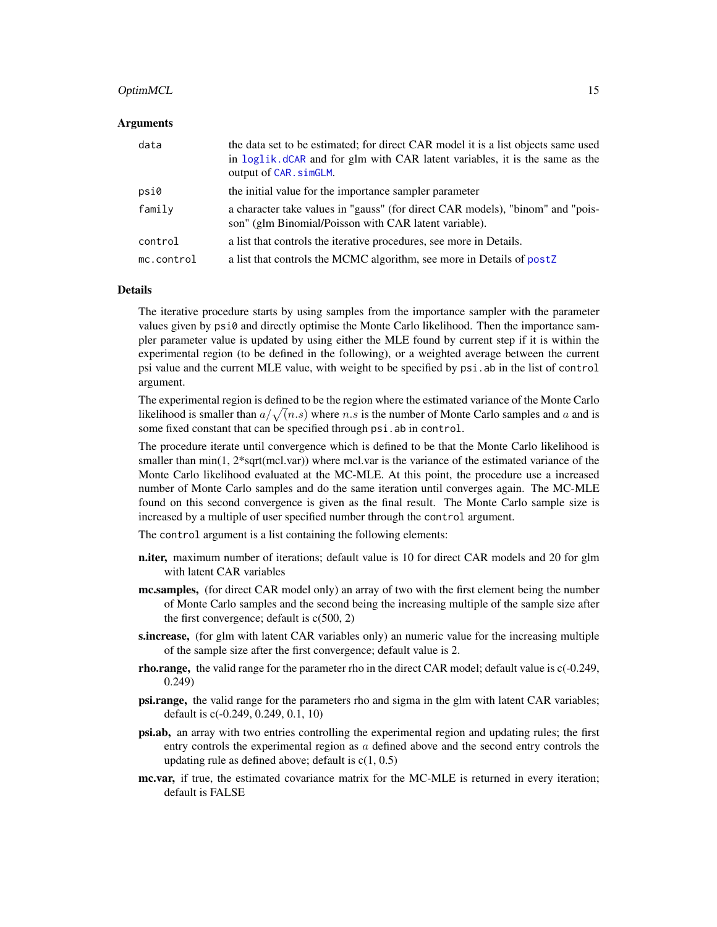#### <span id="page-14-0"></span>OptimMCL 15

#### Arguments

| data       | the data set to be estimated; for direct CAR model it is a list objects same used<br>in loglik. dCAR and for glm with CAR latent variables, it is the same as the<br>output of CAR. simGLM. |
|------------|---------------------------------------------------------------------------------------------------------------------------------------------------------------------------------------------|
| psi0       | the initial value for the importance sampler parameter                                                                                                                                      |
| family     | a character take values in "gauss" (for direct CAR models), "binom" and "pois-<br>son" (glm Binomial/Poisson with CAR latent variable).                                                     |
| control    | a list that controls the iterative procedures, see more in Details.                                                                                                                         |
| mc.control | a list that controls the MCMC algorithm, see more in Details of postZ                                                                                                                       |

#### Details

The iterative procedure starts by using samples from the importance sampler with the parameter values given by psi0 and directly optimise the Monte Carlo likelihood. Then the importance sampler parameter value is updated by using either the MLE found by current step if it is within the experimental region (to be defined in the following), or a weighted average between the current psi value and the current MLE value, with weight to be specified by psi.ab in the list of control argument.

The experimental region is defined to be the region where the estimated variance of the Monte Carlo likelihood is smaller than  $a/\sqrt(n.s)$  where n.s is the number of Monte Carlo samples and a and is some fixed constant that can be specified through psi.ab in control.

The procedure iterate until convergence which is defined to be that the Monte Carlo likelihood is smaller than  $\min(1, 2^*$ sqrt(mcl.var)) where mcl.var is the variance of the estimated variance of the Monte Carlo likelihood evaluated at the MC-MLE. At this point, the procedure use a increased number of Monte Carlo samples and do the same iteration until converges again. The MC-MLE found on this second convergence is given as the final result. The Monte Carlo sample size is increased by a multiple of user specified number through the control argument.

The control argument is a list containing the following elements:

- **n.iter,** maximum number of iterations; default value is 10 for direct CAR models and 20 for glm with latent CAR variables
- **mc.samples,** (for direct CAR model only) an array of two with the first element being the number of Monte Carlo samples and the second being the increasing multiple of the sample size after the first convergence; default is  $c(500, 2)$
- s.increase, (for glm with latent CAR variables only) an numeric value for the increasing multiple of the sample size after the first convergence; default value is 2.
- rho.range, the valid range for the parameter rho in the direct CAR model; default value is  $c(-0.249)$ , 0.249)
- psi.range, the valid range for the parameters rho and sigma in the glm with latent CAR variables; default is c(-0.249, 0.249, 0.1, 10)
- psi.ab, an array with two entries controlling the experimental region and updating rules; the first entry controls the experimental region as  $a$  defined above and the second entry controls the updating rule as defined above; default is  $c(1, 0.5)$
- mc.var, if true, the estimated covariance matrix for the MC-MLE is returned in every iteration; default is FALSE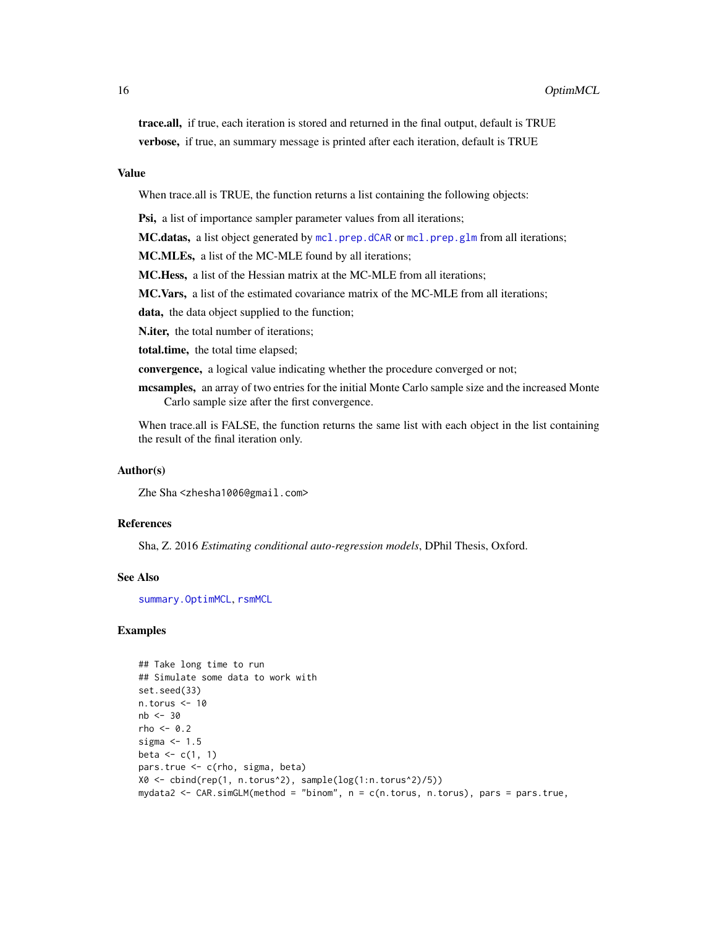<span id="page-15-0"></span>trace.all, if true, each iteration is stored and returned in the final output, default is TRUE verbose, if true, an summary message is printed after each iteration, default is TRUE

#### Value

When trace.all is TRUE, the function returns a list containing the following objects:

Psi, a list of importance sampler parameter values from all iterations;

**MC.datas,** a list object generated by  $mcl.prep.dCAR$  or  $mcl.prep.glm$  from all iterations;

MC.MLEs, a list of the MC-MLE found by all iterations;

MC.Hess, a list of the Hessian matrix at the MC-MLE from all iterations;

MC.Vars, a list of the estimated covariance matrix of the MC-MLE from all iterations;

data, the data object supplied to the function;

N.iter, the total number of iterations;

total.time, the total time elapsed;

convergence, a logical value indicating whether the procedure converged or not;

mcsamples, an array of two entries for the initial Monte Carlo sample size and the increased Monte Carlo sample size after the first convergence.

When trace.all is FALSE, the function returns the same list with each object in the list containing the result of the final iteration only.

#### Author(s)

Zhe Sha <zhesha1006@gmail.com>

# References

Sha, Z. 2016 *Estimating conditional auto-regression models*, DPhil Thesis, Oxford.

#### See Also

[summary.OptimMCL](#page-25-1), [rsmMCL](#page-20-1)

# Examples

```
## Take long time to run
## Simulate some data to work with
set.seed(33)
n.torus <- 10
nb <- 30
rho <-0.2sigma <-1.5beta \leftarrow c(1, 1)
pars.true <- c(rho, sigma, beta)
X0 <- cbind(rep(1, n.torus^2), sample(log(1:n.torus^2)/5))
mydata2 <- CAR.simGLM(method = "binom", n = c(n.torus, n.torus), pars = pars.true,
```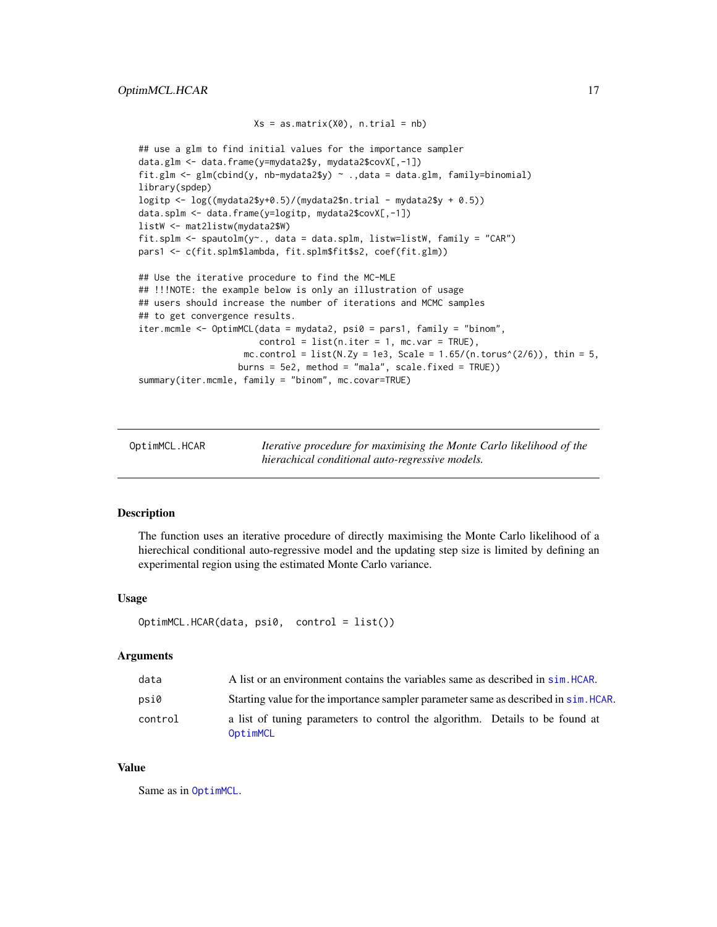```
Xs = as_matrix(X0), n.train = nb)## use a glm to find initial values for the importance sampler
data.glm <- data.frame(y=mydata2$y, mydata2$covX[,-1])
fit.glm \leq glm(cbind(y, nb-mydata2$y) \sim .,data = data.glm, family=binomial)
library(spdep)
logitp \leq log((mydata2$y+0.5)/(mydata2$n.trial - mydata2$y + 0.5))
data.splm <- data.frame(y=logitp, mydata2$covX[,-1])
listW <- mat2listw(mydata2$W)
fit.splm <- spautolm(y~., data = data.splm, listw=listW, family = "CAR")
pars1 <- c(fit.splm$lambda, fit.splm$fit$s2, coef(fit.glm))
## Use the iterative procedure to find the MC-MLE
## !!!NOTE: the example below is only an illustration of usage
## users should increase the number of iterations and MCMC samples
## to get convergence results.
iter.mcmle <- OptimMCL(data = mydata2, psi0 = pars1, family = "binom",
                       control = list(n.iter = 1, mc-var = TRUE),mc.control = list(N.Zy = 1e3, Scale = 1.65/(n.torus^(2/6)), thin = 5,
                   burns = 5e2, method = "mala", scale.fixed = TRUE))
summary(iter.mcmle, family = "binom", mc.covar=TRUE)
```
<span id="page-16-1"></span>OptimMCL.HCAR *Iterative procedure for maximising the Monte Carlo likelihood of the hierachical conditional auto-regressive models.*

#### Description

The function uses an iterative procedure of directly maximising the Monte Carlo likelihood of a hierechical conditional auto-regressive model and the updating step size is limited by defining an experimental region using the estimated Monte Carlo variance.

#### Usage

```
OptimMCL.HCAR(data, psi0, control = list())
```
#### Arguments

| data    | A list or an environment contains the variables same as described in sim. HCAR.          |
|---------|------------------------------------------------------------------------------------------|
| psi0    | Starting value for the importance sampler parameter same as described in sim. HCAR.      |
| control | a list of tuning parameters to control the algorithm. Details to be found at<br>OptimMCL |

# Value

Same as in [OptimMCL](#page-13-1).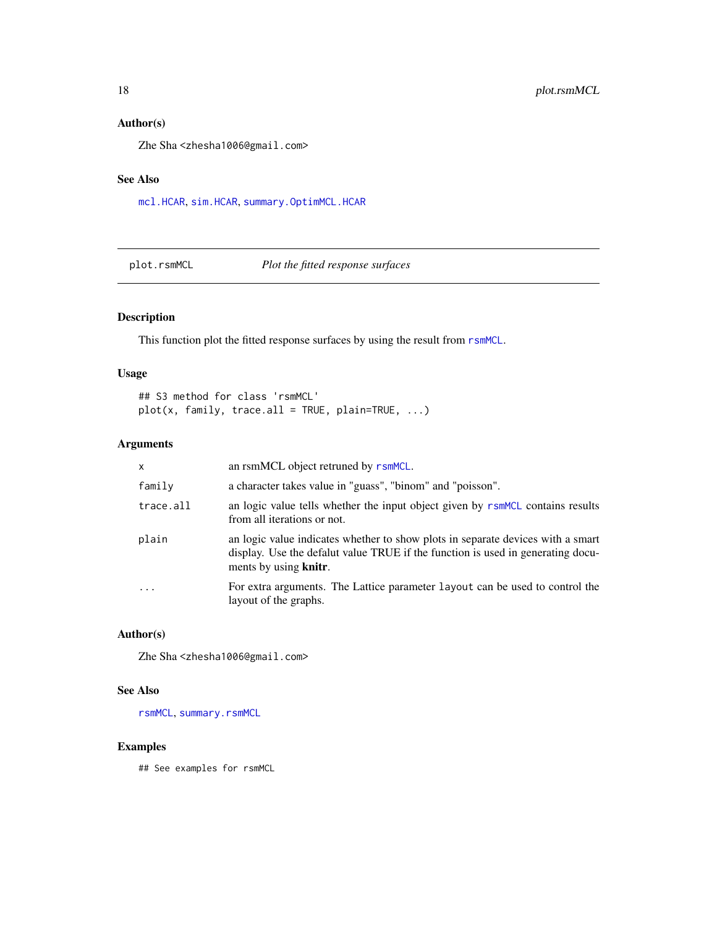# Author(s)

Zhe Sha <zhesha1006@gmail.com>

### See Also

[mcl.HCAR](#page-12-1), [sim.HCAR](#page-24-1), [summary.OptimMCL.HCAR](#page-26-1)

<span id="page-17-1"></span>plot.rsmMCL *Plot the fitted response surfaces*

# Description

This function plot the fitted response surfaces by using the result from  $r$ smMCL.

### Usage

## S3 method for class 'rsmMCL'  $plot(x, family, trace.al1 = TRUE, plain=True, ...)$ 

# Arguments

| $\mathsf{x}$ | an rsmMCL object retruned by rsmMCL.                                                                                                                                                        |
|--------------|---------------------------------------------------------------------------------------------------------------------------------------------------------------------------------------------|
| family       | a character takes value in "guass", "binom" and "poisson".                                                                                                                                  |
| trace.all    | an logic value tells whether the input object given by rsmMCL contains results<br>from all iterations or not.                                                                               |
| plain        | an logic value indicates whether to show plots in separate devices with a smart<br>display. Use the defalut value TRUE if the function is used in generating docu-<br>ments by using knitr. |
| .            | For extra arguments. The Lattice parameter layout can be used to control the<br>layout of the graphs.                                                                                       |

# Author(s)

Zhe Sha <zhesha1006@gmail.com>

# See Also

[rsmMCL](#page-20-1), [summary.rsmMCL](#page-28-1)

# Examples

## See examples for rsmMCL

<span id="page-17-0"></span>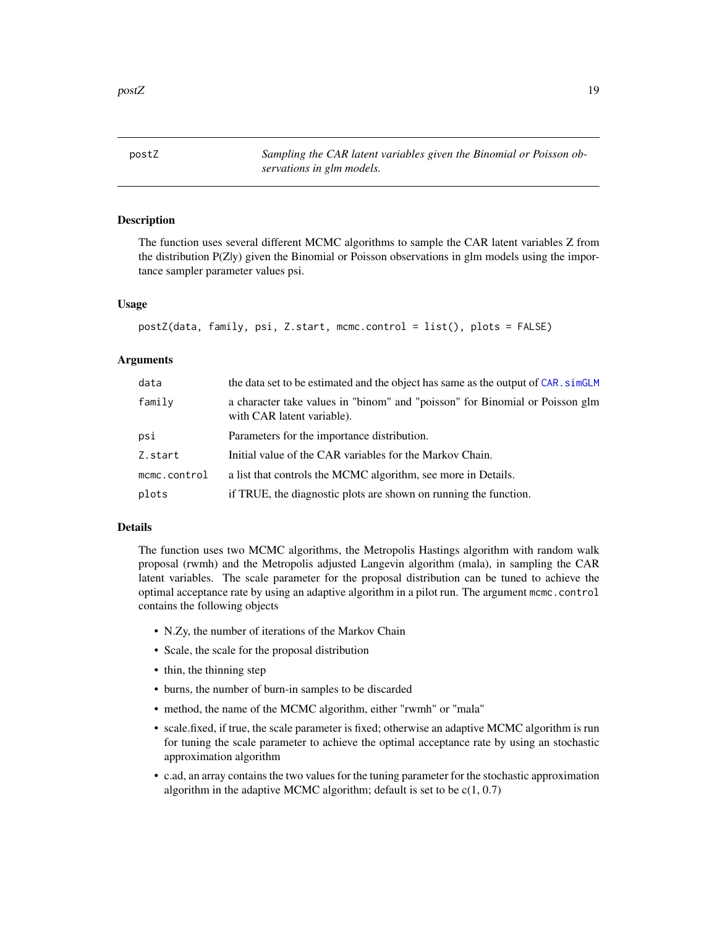<span id="page-18-1"></span><span id="page-18-0"></span>postZ *Sampling the CAR latent variables given the Binomial or Poisson observations in glm models.*

#### **Description**

The function uses several different MCMC algorithms to sample the CAR latent variables Z from the distribution P(Z|y) given the Binomial or Poisson observations in glm models using the importance sampler parameter values psi.

#### Usage

```
postZ(data, family, psi, Z.start, mcmc.control = list(), plots = FALSE)
```
# Arguments

| data         | the data set to be estimated and the object has same as the output of CAR. simGLM                          |
|--------------|------------------------------------------------------------------------------------------------------------|
| family       | a character take values in "binom" and "poisson" for Binomial or Poisson glm<br>with CAR latent variable). |
| psi          | Parameters for the importance distribution.                                                                |
| Z.start      | Initial value of the CAR variables for the Markov Chain.                                                   |
| mcmc.control | a list that controls the MCMC algorithm, see more in Details.                                              |
| plots        | if TRUE, the diagnostic plots are shown on running the function.                                           |

# Details

The function uses two MCMC algorithms, the Metropolis Hastings algorithm with random walk proposal (rwmh) and the Metropolis adjusted Langevin algorithm (mala), in sampling the CAR latent variables. The scale parameter for the proposal distribution can be tuned to achieve the optimal acceptance rate by using an adaptive algorithm in a pilot run. The argument mcmc.control contains the following objects

- N.Zy, the number of iterations of the Markov Chain
- Scale, the scale for the proposal distribution
- thin, the thinning step
- burns, the number of burn-in samples to be discarded
- method, the name of the MCMC algorithm, either "rwmh" or "mala"
- scale.fixed, if true, the scale parameter is fixed; otherwise an adaptive MCMC algorithm is run for tuning the scale parameter to achieve the optimal acceptance rate by using an stochastic approximation algorithm
- c.ad, an array contains the two values for the tuning parameter for the stochastic approximation algorithm in the adaptive MCMC algorithm; default is set to be  $c(1, 0.7)$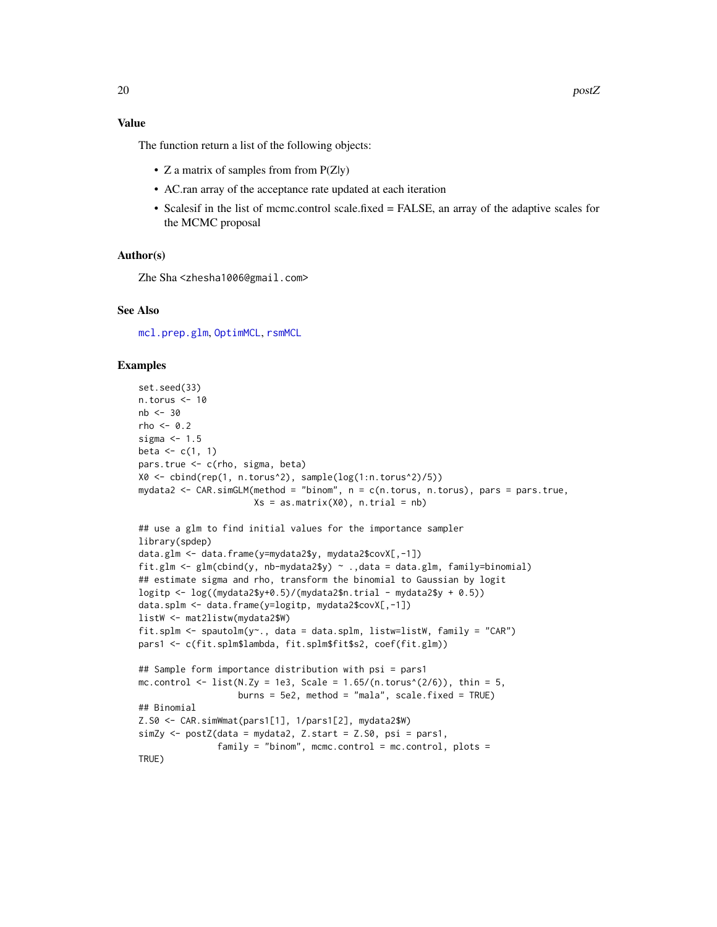#### <span id="page-19-0"></span>Value

The function return a list of the following objects:

- Z a matrix of samples from from  $P(Z|y)$
- AC.ran array of the acceptance rate updated at each iteration
- Scalesif in the list of mcmc.control scale.fixed = FALSE, an array of the adaptive scales for the MCMC proposal

#### Author(s)

Zhe Sha <zhesha1006@gmail.com>

#### See Also

[mcl.prep.glm](#page-9-2), [OptimMCL](#page-13-1), [rsmMCL](#page-20-1)

# Examples

```
set.seed(33)
n.torus <- 10
nb <- 30
rho < -0.2sigma <-1.5beta \leftarrow c(1, 1)
pars.true <- c(rho, sigma, beta)
X0 <- cbind(rep(1, n.torus^2), sample(log(1:n.torus^2)/5))
mydata2 <- CAR.simGLM(method = "binom", n = c(n.torus, n.torus), pars = pars.true,
                      Xs = as_matrix(X0), n.train = nb)## use a glm to find initial values for the importance sampler
library(spdep)
data.glm <- data.frame(y=mydata2$y, mydata2$covX[,-1])
fit.glm <- glm(cbind(y, nb-mydata2$y) ~ .,data = data.glm, family=binomial)
## estimate sigma and rho, transform the binomial to Gaussian by logit
logitp \leq log((mydata2$y+0.5)/(mydata2$n.trial - mydata2$y + 0.5))
data.splm <- data.frame(y=logitp, mydata2$covX[,-1])
listW <- mat2listw(mydata2$W)
fit.splm <- spautolm(y~., data = data.splm, listw=listW, family = "CAR")
pars1 <- c(fit.splm$lambda, fit.splm$fit$s2, coef(fit.glm))
## Sample form importance distribution with psi = pars1
mc.control <- list(N.Zy = 1e3, Scale = 1.65/(n.torus^(2/6)), thin = 5,
                   burns = 5e2, method = "mala", scale.fixed = TRUE)
## Binomial
Z.S0 <- CAR.simWmat(pars1[1], 1/pars1[2], mydata2$W)
simZy <- postZ(data = mydata2, Z.start = Z.S0, psi = pars1,
               family = "binom", mcmc.control = mc.control, plots =
TRUE)
```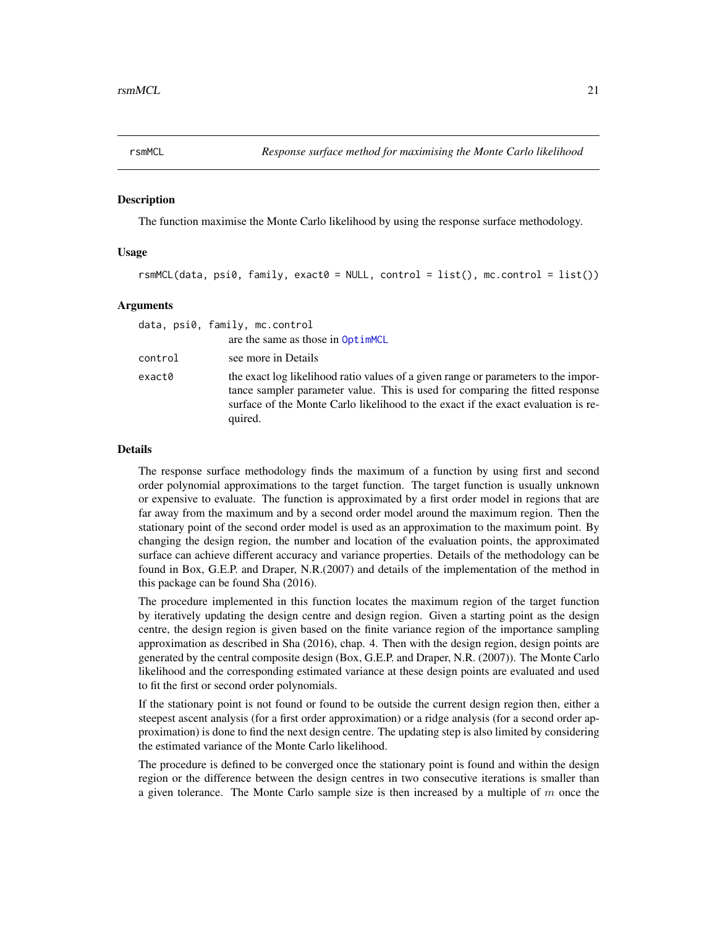<span id="page-20-1"></span><span id="page-20-0"></span>

#### Description

The function maximise the Monte Carlo likelihood by using the response surface methodology.

#### Usage

rsmMCL(data, psi0, family, exact0 = NULL, control = list(), mc.control = list())

#### Arguments

|         | data, psi0, family, mc.control                                                                                                                                                                                                                                      |
|---------|---------------------------------------------------------------------------------------------------------------------------------------------------------------------------------------------------------------------------------------------------------------------|
|         | are the same as those in OptimMCL                                                                                                                                                                                                                                   |
| control | see more in Details                                                                                                                                                                                                                                                 |
| exact0  | the exact log likelihood ratio values of a given range or parameters to the impor-<br>tance sampler parameter value. This is used for comparing the fitted response<br>surface of the Monte Carlo likelihood to the exact if the exact evaluation is re-<br>quired. |

#### Details

The response surface methodology finds the maximum of a function by using first and second order polynomial approximations to the target function. The target function is usually unknown or expensive to evaluate. The function is approximated by a first order model in regions that are far away from the maximum and by a second order model around the maximum region. Then the stationary point of the second order model is used as an approximation to the maximum point. By changing the design region, the number and location of the evaluation points, the approximated surface can achieve different accuracy and variance properties. Details of the methodology can be found in Box, G.E.P. and Draper, N.R.(2007) and details of the implementation of the method in this package can be found Sha (2016).

The procedure implemented in this function locates the maximum region of the target function by iteratively updating the design centre and design region. Given a starting point as the design centre, the design region is given based on the finite variance region of the importance sampling approximation as described in Sha (2016), chap. 4. Then with the design region, design points are generated by the central composite design (Box, G.E.P. and Draper, N.R. (2007)). The Monte Carlo likelihood and the corresponding estimated variance at these design points are evaluated and used to fit the first or second order polynomials.

If the stationary point is not found or found to be outside the current design region then, either a steepest ascent analysis (for a first order approximation) or a ridge analysis (for a second order approximation) is done to find the next design centre. The updating step is also limited by considering the estimated variance of the Monte Carlo likelihood.

The procedure is defined to be converged once the stationary point is found and within the design region or the difference between the design centres in two consecutive iterations is smaller than a given tolerance. The Monte Carlo sample size is then increased by a multiple of  $m$  once the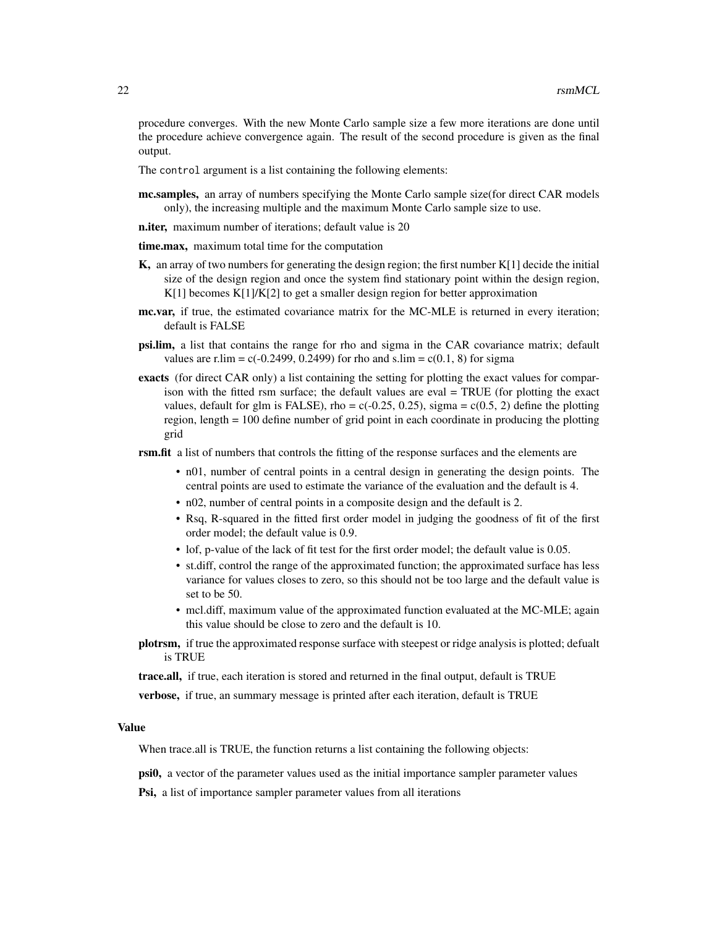procedure converges. With the new Monte Carlo sample size a few more iterations are done until the procedure achieve convergence again. The result of the second procedure is given as the final output.

The control argument is a list containing the following elements:

mc.samples, an array of numbers specifying the Monte Carlo sample size (for direct CAR models only), the increasing multiple and the maximum Monte Carlo sample size to use.

n.iter, maximum number of iterations; default value is 20

- time.max, maximum total time for the computation
- $K$ , an array of two numbers for generating the design region; the first number  $K[1]$  decide the initial size of the design region and once the system find stationary point within the design region, K[1] becomes K[1]/K[2] to get a smaller design region for better approximation
- mc.var, if true, the estimated covariance matrix for the MC-MLE is returned in every iteration; default is FALSE
- psi.lim, a list that contains the range for rho and sigma in the CAR covariance matrix; default values are r.lim =  $c(-0.2499, 0.2499)$  for rho and s.lim =  $c(0.1, 8)$  for sigma
- exacts (for direct CAR only) a list containing the setting for plotting the exact values for comparison with the fitted rsm surface; the default values are eval = TRUE (for plotting the exact values, default for glm is FALSE), rho =  $c(-0.25, 0.25)$ , sigma =  $c(0.5, 2)$  define the plotting region, length = 100 define number of grid point in each coordinate in producing the plotting grid

**rsm.fit** a list of numbers that controls the fitting of the response surfaces and the elements are

- n01, number of central points in a central design in generating the design points. The central points are used to estimate the variance of the evaluation and the default is 4.
- n02, number of central points in a composite design and the default is 2.
- Rsq, R-squared in the fitted first order model in judging the goodness of fit of the first order model; the default value is 0.9.
- lof, p-value of the lack of fit test for the first order model; the default value is 0.05.
- st.diff, control the range of the approximated function; the approximated surface has less variance for values closes to zero, so this should not be too large and the default value is set to be 50.
- mcl.diff, maximum value of the approximated function evaluated at the MC-MLE; again this value should be close to zero and the default is 10.
- plotrsm, if true the approximated response surface with steepest or ridge analysis is plotted; defualt is TRUE

trace.all, if true, each iteration is stored and returned in the final output, default is TRUE

verbose, if true, an summary message is printed after each iteration, default is TRUE

# Value

When trace.all is TRUE, the function returns a list containing the following objects:

psi0, a vector of the parameter values used as the initial importance sampler parameter values

Psi, a list of importance sampler parameter values from all iterations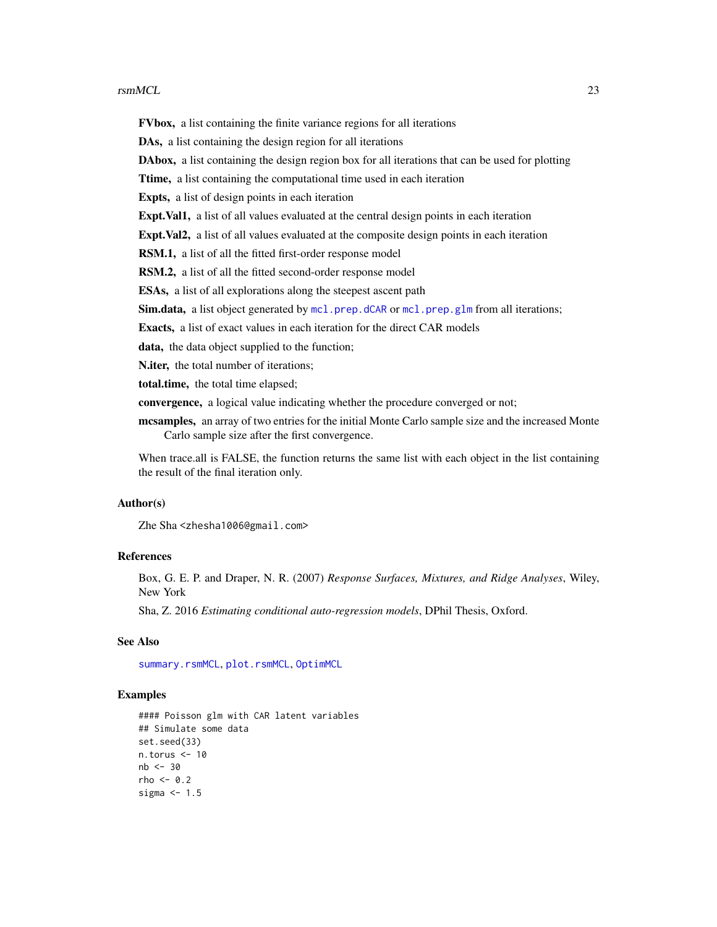#### <span id="page-22-0"></span> $r_{\rm smMCL}$  23

FVbox, a list containing the finite variance regions for all iterations DAs, a list containing the design region for all iterations DAbox, a list containing the design region box for all iterations that can be used for plotting Ttime, a list containing the computational time used in each iteration Expts, a list of design points in each iteration Expt.Val1, a list of all values evaluated at the central design points in each iteration Expt.Val2, a list of all values evaluated at the composite design points in each iteration RSM.1, a list of all the fitted first-order response model RSM.2, a list of all the fitted second-order response model ESAs, a list of all explorations along the steepest ascent path Sim.data, a list object generated by [mcl.prep.dCAR](#page-7-2) or [mcl.prep.glm](#page-9-2) from all iterations; Exacts, a list of exact values in each iteration for the direct CAR models data, the data object supplied to the function; N.iter, the total number of iterations; total.time, the total time elapsed; convergence, a logical value indicating whether the procedure converged or not;

mcsamples, an array of two entries for the initial Monte Carlo sample size and the increased Monte Carlo sample size after the first convergence.

When trace.all is FALSE, the function returns the same list with each object in the list containing the result of the final iteration only.

#### Author(s)

Zhe Sha <zhesha1006@gmail.com>

#### References

Box, G. E. P. and Draper, N. R. (2007) *Response Surfaces, Mixtures, and Ridge Analyses*, Wiley, New York

Sha, Z. 2016 *Estimating conditional auto-regression models*, DPhil Thesis, Oxford.

#### See Also

[summary.rsmMCL](#page-28-1), [plot.rsmMCL](#page-17-1), [OptimMCL](#page-13-1)

#### Examples

```
#### Poisson glm with CAR latent variables
## Simulate some data
set.seed(33)
n.torus <- 10
nb < -30rho < -0.2sigma <-1.5
```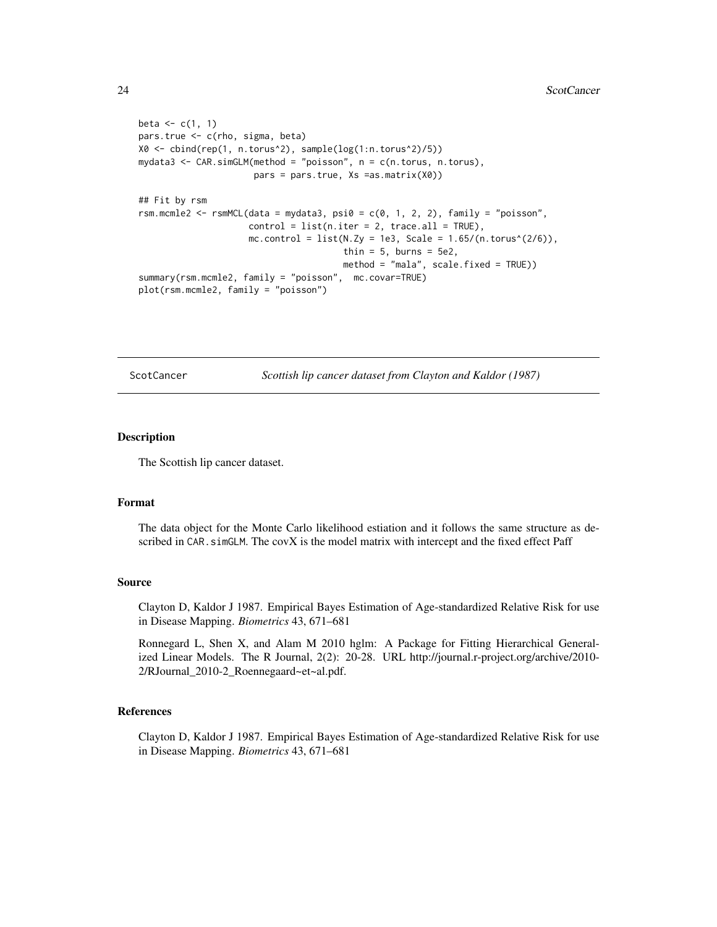```
beta \leftarrow c(1, 1)
pars.true <- c(rho, sigma, beta)
X0 <- cbind(rep(1, n.torus^2), sample(log(1:n.torus^2)/5))
mydata3 <- CAR.simGLM(method = "poisson", n = c(n.torus, n.torus),
                      pars = pars.true, Xs =as.matrix(X0))
## Fit by rsm
rsm.mcmle2 <- rsmMCL(data = mydata3, psi0 = c(0, 1, 2, 2), family = "poisson",
                     control = list(n.iter = 2, trace.al = TRUE),mc.control = list(N.Zy = 1e3, Scale = 1.65/(n.torus^(2/6)),thin = 5, burns = 5e2,
                                       method = "mala", scale.fixed = TRUE))
summary(rsm.mcmle2, family = "poisson", mc.covar=TRUE)
plot(rsm.mcmle2, family = "poisson")
```
ScotCancer *Scottish lip cancer dataset from Clayton and Kaldor (1987)*

#### Description

The Scottish lip cancer dataset.

#### Format

The data object for the Monte Carlo likelihood estiation and it follows the same structure as described in CAR. simGLM. The covX is the model matrix with intercept and the fixed effect Paff

#### Source

Clayton D, Kaldor J 1987. Empirical Bayes Estimation of Age-standardized Relative Risk for use in Disease Mapping. *Biometrics* 43, 671–681

Ronnegard L, Shen X, and Alam M 2010 hglm: A Package for Fitting Hierarchical Generalized Linear Models. The R Journal, 2(2): 20-28. URL http://journal.r-project.org/archive/2010- 2/RJournal\_2010-2\_Roennegaard~et~al.pdf.

### References

Clayton D, Kaldor J 1987. Empirical Bayes Estimation of Age-standardized Relative Risk for use in Disease Mapping. *Biometrics* 43, 671–681

<span id="page-23-0"></span>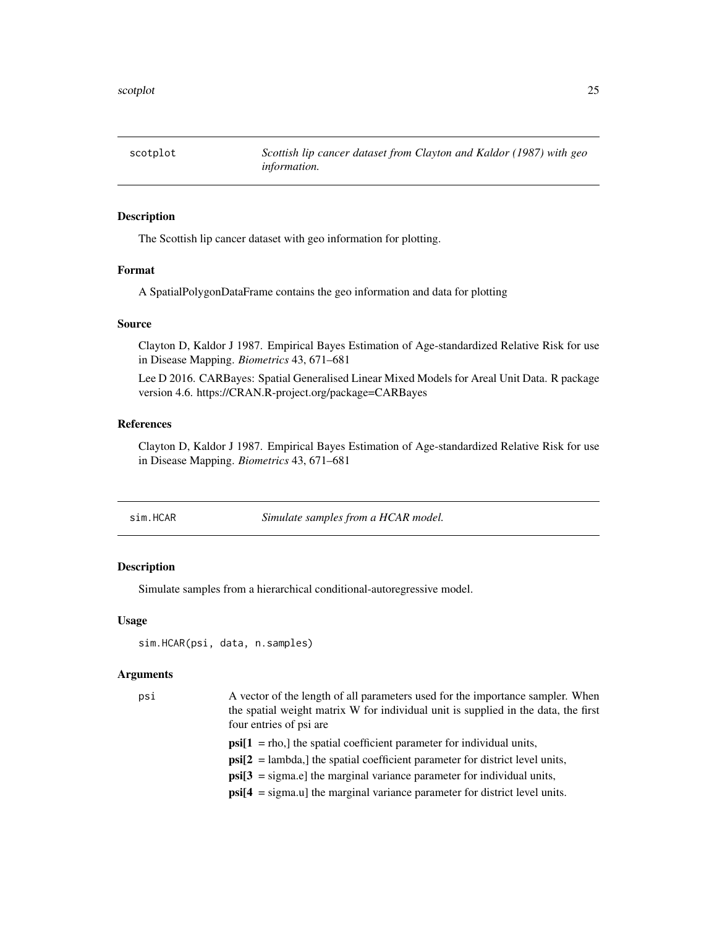<span id="page-24-0"></span>scotplot *Scottish lip cancer dataset from Clayton and Kaldor (1987) with geo information.*

#### Description

The Scottish lip cancer dataset with geo information for plotting.

# Format

A SpatialPolygonDataFrame contains the geo information and data for plotting

#### Source

Clayton D, Kaldor J 1987. Empirical Bayes Estimation of Age-standardized Relative Risk for use in Disease Mapping. *Biometrics* 43, 671–681

Lee D 2016. CARBayes: Spatial Generalised Linear Mixed Models for Areal Unit Data. R package version 4.6. https://CRAN.R-project.org/package=CARBayes

# References

Clayton D, Kaldor J 1987. Empirical Bayes Estimation of Age-standardized Relative Risk for use in Disease Mapping. *Biometrics* 43, 671–681

<span id="page-24-1"></span>sim.HCAR *Simulate samples from a HCAR model.*

#### Description

Simulate samples from a hierarchical conditional-autoregressive model.

#### Usage

```
sim.HCAR(psi, data, n.samples)
```
#### Arguments

| psi | A vector of the length of all parameters used for the importance sampler. When             |
|-----|--------------------------------------------------------------------------------------------|
|     | the spatial weight matrix W for individual unit is supplied in the data, the first         |
|     | four entries of psi are                                                                    |
|     | $\text{psi}[1] =$ rho, the spatial coefficient parameter for individual units,             |
|     | $\text{psi}[2] =$ lambda, the spatial coefficient parameter for district level units,      |
|     | $\text{psi}[3]$ = sigma.e] the marginal variance parameter for individual units,           |
|     | $\text{psi}[4] = \text{sigma.u}$ the marginal variance parameter for district level units. |
|     |                                                                                            |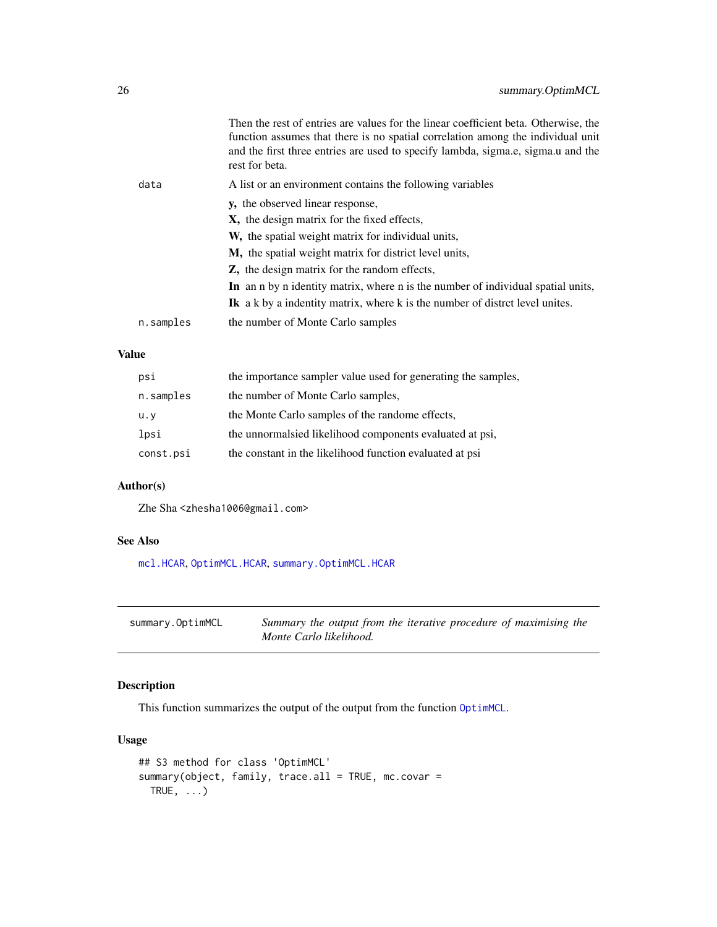<span id="page-25-0"></span>

|           | Then the rest of entries are values for the linear coefficient beta. Otherwise, the<br>function assumes that there is no spatial correlation among the individual unit<br>and the first three entries are used to specify lambda, sigma.e, sigma.u and the<br>rest for beta. |
|-----------|------------------------------------------------------------------------------------------------------------------------------------------------------------------------------------------------------------------------------------------------------------------------------|
| data      | A list or an environment contains the following variables                                                                                                                                                                                                                    |
|           | y, the observed linear response,                                                                                                                                                                                                                                             |
|           | X, the design matrix for the fixed effects,                                                                                                                                                                                                                                  |
|           | W, the spatial weight matrix for individual units,                                                                                                                                                                                                                           |
|           | M, the spatial weight matrix for district level units,                                                                                                                                                                                                                       |
|           | <b>Z</b> , the design matrix for the random effects,                                                                                                                                                                                                                         |
|           | In an n by n identity matrix, where n is the number of individual spatial units,                                                                                                                                                                                             |
|           | <b>Ik</b> a k by a indentity matrix, where k is the number of district level unites.                                                                                                                                                                                         |
| n.samples | the number of Monte Carlo samples                                                                                                                                                                                                                                            |
|           |                                                                                                                                                                                                                                                                              |

# Value

| the importance sampler value used for generating the samples, |
|---------------------------------------------------------------|
| the number of Monte Carlo samples,                            |
| the Monte Carlo samples of the randome effects,               |
| the unnormal sied likelihood components evaluated at psi,     |
| the constant in the likelihood function evaluated at psi      |
|                                                               |

# Author(s)

Zhe Sha <zhesha1006@gmail.com>

# See Also

[mcl.HCAR](#page-12-1), [OptimMCL.HCAR](#page-16-1), [summary.OptimMCL.HCAR](#page-26-1)

<span id="page-25-1"></span>

| summary.OptimMCL | Summary the output from the iterative procedure of maximising the |
|------------------|-------------------------------------------------------------------|
|                  | Monte Carlo likelihood.                                           |

# Description

This function summarizes the output of the output from the function [OptimMCL](#page-13-1).

# Usage

```
## S3 method for class 'OptimMCL'
summary(object, family, trace.all = TRUE, mc.covar =
 TRUE, \ldots)
```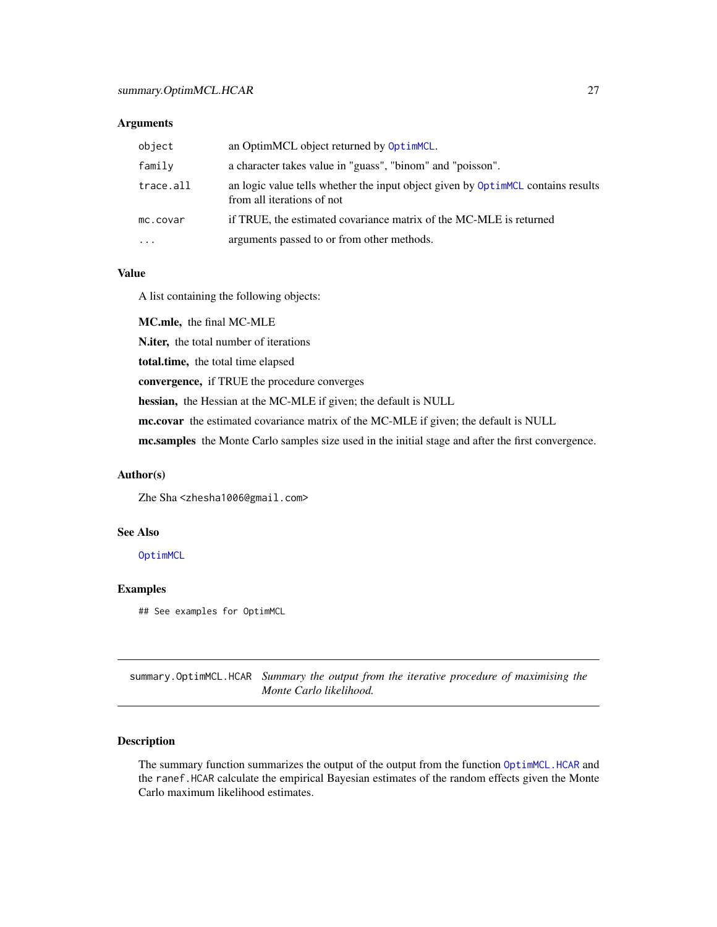#### <span id="page-26-0"></span>Arguments

| object    | an OptimMCL object returned by OptimMCL.                                                                       |
|-----------|----------------------------------------------------------------------------------------------------------------|
| family    | a character takes value in "guass", "binom" and "poisson".                                                     |
| trace.all | an logic value tells whether the input object given by OptimMCL contains results<br>from all iterations of not |
| mc.covar  | if TRUE, the estimated covariance matrix of the MC-MLE is returned                                             |
| $\cdots$  | arguments passed to or from other methods.                                                                     |

#### Value

A list containing the following objects:

MC.mle, the final MC-MLE N.iter, the total number of iterations total.time, the total time elapsed convergence, if TRUE the procedure converges hessian, the Hessian at the MC-MLE if given; the default is NULL mc.covar the estimated covariance matrix of the MC-MLE if given; the default is NULL mc.samples the Monte Carlo samples size used in the initial stage and after the first convergence.

# Author(s)

Zhe Sha <zhesha1006@gmail.com>

#### See Also

[OptimMCL](#page-13-1)

#### Examples

## See examples for OptimMCL

<span id="page-26-1"></span>summary.OptimMCL.HCAR *Summary the output from the iterative procedure of maximising the Monte Carlo likelihood.*

### Description

The summary function summarizes the output of the output from the function [OptimMCL.HCAR](#page-16-1) and the ranef.HCAR calculate the empirical Bayesian estimates of the random effects given the Monte Carlo maximum likelihood estimates.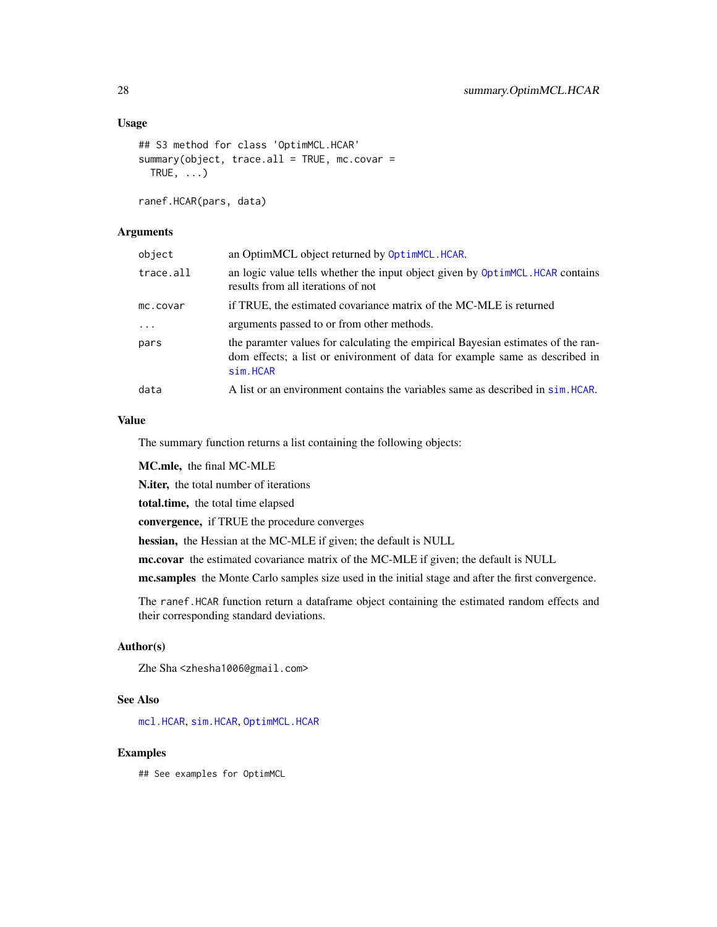### <span id="page-27-0"></span>Usage

```
## S3 method for class 'OptimMCL.HCAR'
summary(object, trace.al = TRUE, mc.covar =TRUE, \ldots)
```
ranef.HCAR(pars, data)

# Arguments

| object    | an OptimMCL object returned by OptimMCL.HCAR.                                                                                                                                |
|-----------|------------------------------------------------------------------------------------------------------------------------------------------------------------------------------|
| trace.all | an logic value tells whether the input object given by OptimMCL. HCAR contains<br>results from all iterations of not                                                         |
| mc.covar  | if TRUE, the estimated covariance matrix of the MC-MLE is returned                                                                                                           |
| $\cdots$  | arguments passed to or from other methods.                                                                                                                                   |
| pars      | the paramter values for calculating the empirical Bayesian estimates of the ran-<br>dom effects; a list or enivironment of data for example same as described in<br>sim.HCAR |
| data      | A list or an environment contains the variables same as described in sim. HCAR.                                                                                              |

#### Value

The summary function returns a list containing the following objects:

MC.mle, the final MC-MLE

N.iter, the total number of iterations

total.time, the total time elapsed

convergence, if TRUE the procedure converges

hessian, the Hessian at the MC-MLE if given; the default is NULL

mc.covar the estimated covariance matrix of the MC-MLE if given; the default is NULL

mc.samples the Monte Carlo samples size used in the initial stage and after the first convergence.

The ranef.HCAR function return a dataframe object containing the estimated random effects and their corresponding standard deviations.

# Author(s)

Zhe Sha <zhesha1006@gmail.com>

# See Also

[mcl.HCAR](#page-12-1), [sim.HCAR](#page-24-1), [OptimMCL.HCAR](#page-16-1)

#### Examples

## See examples for OptimMCL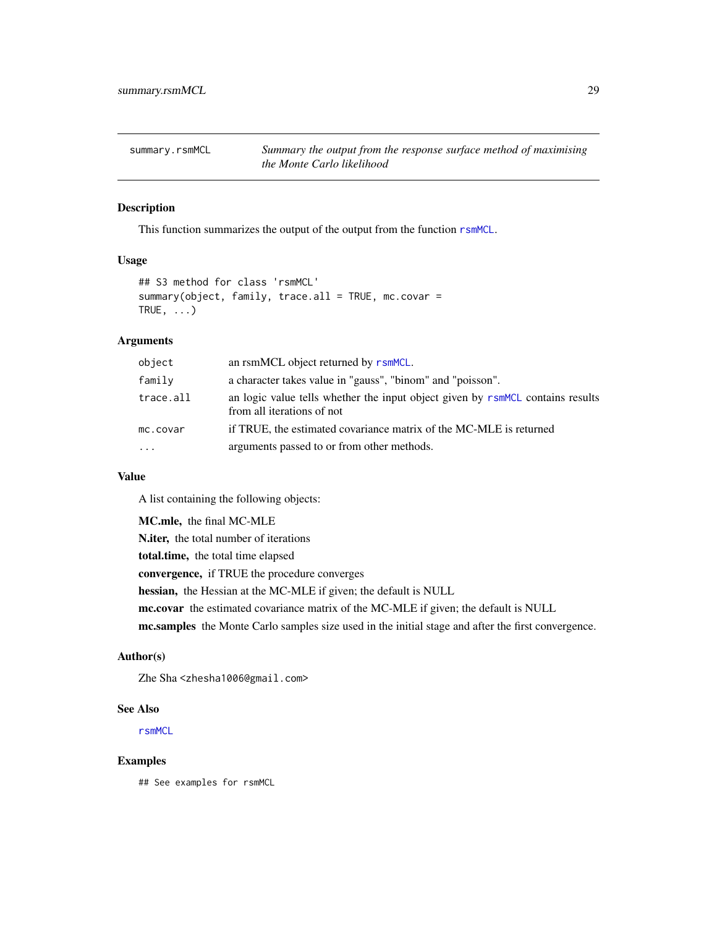<span id="page-28-1"></span><span id="page-28-0"></span>summary.rsmMCL *Summary the output from the response surface method of maximising the Monte Carlo likelihood*

#### Description

This function summarizes the output of the output from the function [rsmMCL](#page-20-1).

# Usage

```
## S3 method for class 'rsmMCL'
summary(object, family, trace.all = TRUE, mc.covar =
TRUE, \ldots)
```
# Arguments

| object    | an rsmMCL object returned by rsmMCL.                                                                         |
|-----------|--------------------------------------------------------------------------------------------------------------|
| family    | a character takes value in "gauss", "binom" and "poisson".                                                   |
| trace.all | an logic value tells whether the input object given by rsmMCL contains results<br>from all iterations of not |
| mc.covar  | if TRUE, the estimated covariance matrix of the MC-MLE is returned                                           |
| $\cdots$  | arguments passed to or from other methods.                                                                   |

# Value

A list containing the following objects:

MC.mle, the final MC-MLE

N.iter, the total number of iterations

total.time, the total time elapsed

convergence, if TRUE the procedure converges

hessian, the Hessian at the MC-MLE if given; the default is NULL

mc.covar the estimated covariance matrix of the MC-MLE if given; the default is NULL

mc.samples the Monte Carlo samples size used in the initial stage and after the first convergence.

# Author(s)

Zhe Sha <zhesha1006@gmail.com>

#### See Also

[rsmMCL](#page-20-1)

#### Examples

## See examples for rsmMCL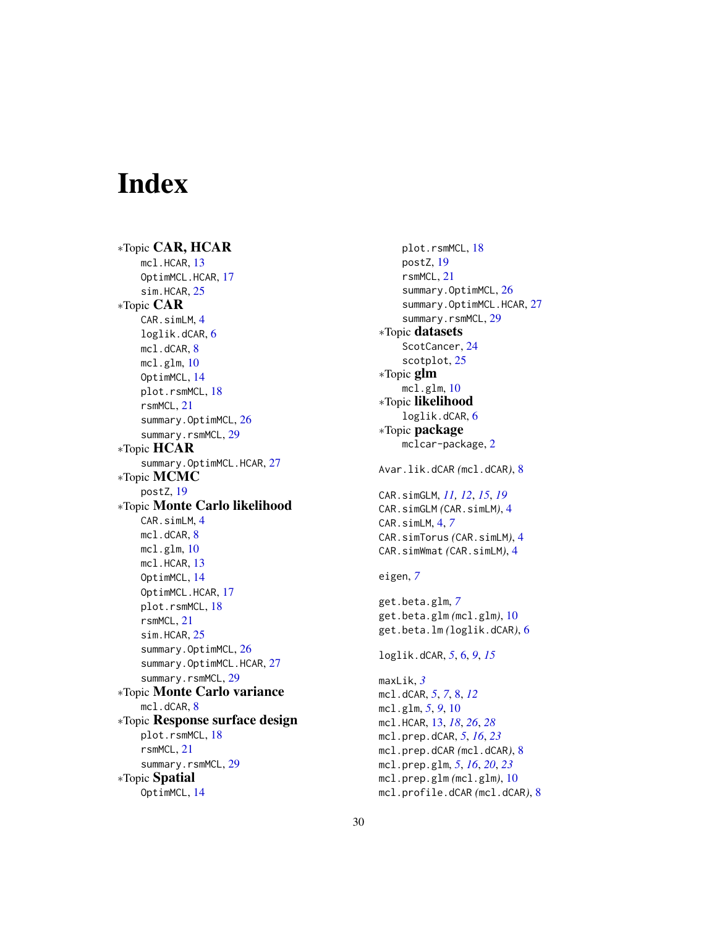# <span id="page-29-0"></span>Index

∗Topic CAR, HCAR mcl.HCAR, [13](#page-12-0) OptimMCL.HCAR, [17](#page-16-0) sim.HCAR, [25](#page-24-0) ∗Topic CAR CAR.simLM, [4](#page-3-0) loglik.dCAR, [6](#page-5-0) mcl.dCAR, [8](#page-7-0) mcl.glm, [10](#page-9-0) OptimMCL, [14](#page-13-0) plot.rsmMCL, [18](#page-17-0) rsmMCL, [21](#page-20-0) summary.OptimMCL, [26](#page-25-0) summary.rsmMCL, [29](#page-28-0) ∗Topic HCAR summary.OptimMCL.HCAR, [27](#page-26-0) ∗Topic MCMC postZ, [19](#page-18-0) ∗Topic Monte Carlo likelihood CAR.simLM, [4](#page-3-0) mcl.dCAR, [8](#page-7-0) mcl.glm, [10](#page-9-0) mcl.HCAR, [13](#page-12-0) OptimMCL, [14](#page-13-0) OptimMCL.HCAR, [17](#page-16-0) plot.rsmMCL, [18](#page-17-0) rsmMCL, [21](#page-20-0) sim.HCAR, [25](#page-24-0) summary.OptimMCL, [26](#page-25-0) summary.OptimMCL.HCAR, [27](#page-26-0) summary.rsmMCL, [29](#page-28-0) ∗Topic Monte Carlo variance mcl.dCAR, [8](#page-7-0) ∗Topic Response surface design plot.rsmMCL, [18](#page-17-0) rsmMCL, [21](#page-20-0) summary.rsmMCL, [29](#page-28-0) ∗Topic Spatial OptimMCL, [14](#page-13-0)

plot.rsmMCL, [18](#page-17-0) postZ, [19](#page-18-0) rsmMCL, [21](#page-20-0) summary.OptimMCL, [26](#page-25-0) summary.OptimMCL.HCAR, [27](#page-26-0) summary.rsmMCL, [29](#page-28-0) ∗Topic datasets ScotCancer, [24](#page-23-0) scotplot, [25](#page-24-0) ∗Topic glm mcl.glm, [10](#page-9-0) ∗Topic likelihood loglik.dCAR, [6](#page-5-0) ∗Topic package mclcar-package, [2](#page-1-0) Avar.lik.dCAR *(*mcl.dCAR*)*, [8](#page-7-0) CAR.simGLM, *[11,](#page-10-0) [12](#page-11-0)*, *[15](#page-14-0)*, *[19](#page-18-0)* CAR.simGLM *(*CAR.simLM*)*, [4](#page-3-0) CAR.simLM, [4,](#page-3-0) *[7](#page-6-0)* CAR.simTorus *(*CAR.simLM*)*, [4](#page-3-0) CAR.simWmat *(*CAR.simLM*)*, [4](#page-3-0) eigen, *[7](#page-6-0)* get.beta.glm, *[7](#page-6-0)* get.beta.glm *(*mcl.glm*)*, [10](#page-9-0) get.beta.lm *(*loglik.dCAR*)*, [6](#page-5-0) loglik.dCAR, *[5](#page-4-0)*, [6,](#page-5-0) *[9](#page-8-0)*, *[15](#page-14-0)* maxLik, *[3](#page-2-0)* mcl.dCAR, *[5](#page-4-0)*, *[7](#page-6-0)*, [8,](#page-7-0) *[12](#page-11-0)* mcl.glm, *[5](#page-4-0)*, *[9](#page-8-0)*, [10](#page-9-0) mcl.HCAR, [13,](#page-12-0) *[18](#page-17-0)*, *[26](#page-25-0)*, *[28](#page-27-0)* mcl.prep.dCAR, *[5](#page-4-0)*, *[16](#page-15-0)*, *[23](#page-22-0)* mcl.prep.dCAR *(*mcl.dCAR*)*, [8](#page-7-0) mcl.prep.glm, *[5](#page-4-0)*, *[16](#page-15-0)*, *[20](#page-19-0)*, *[23](#page-22-0)* mcl.prep.glm *(*mcl.glm*)*, [10](#page-9-0) mcl.profile.dCAR *(*mcl.dCAR*)*, [8](#page-7-0)